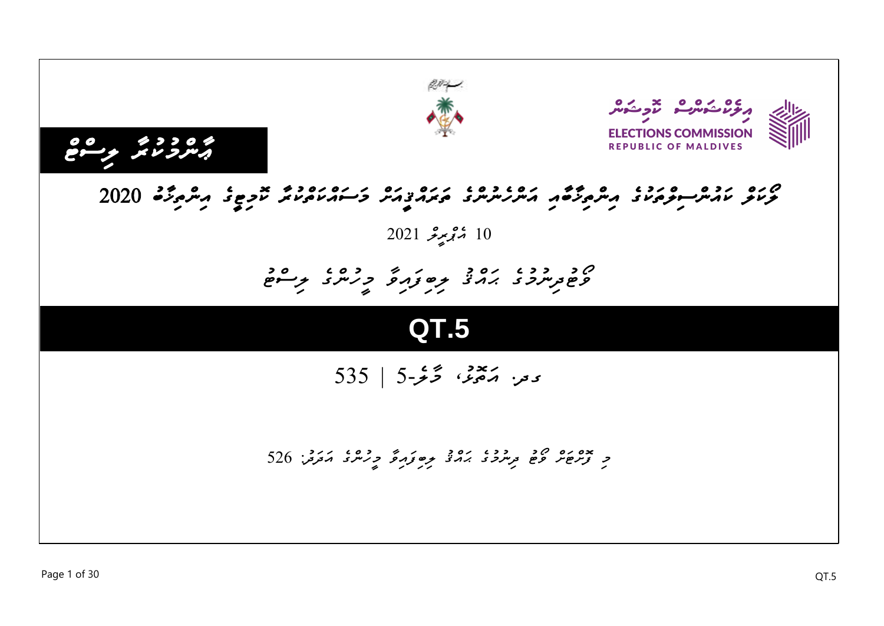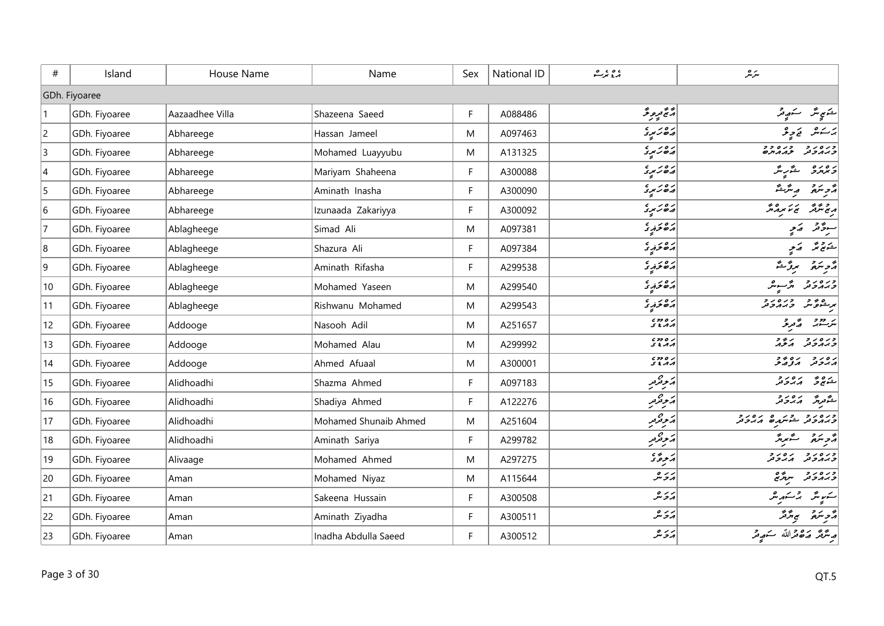| #              | Island        | House Name      | Name                  | Sex         | National ID | ېره پر شه                        | يترمثر                                                    |
|----------------|---------------|-----------------|-----------------------|-------------|-------------|----------------------------------|-----------------------------------------------------------|
|                | GDh. Fiyoaree |                 |                       |             |             |                                  |                                                           |
|                | GDh. Fiyoaree | Aazaadhee Villa | Shazeena Saeed        | $\mathsf F$ | A088486     | پر پچ مورمو محر                  | ڪي سگر ڪمرنگر                                             |
| $\overline{c}$ | GDh. Fiyoaree | Abhareege       | Hassan Jameel         | M           | A097463     | ر ٥ ر پر ٢<br>د کارنموړ          | يزكتان في والح                                            |
| 3              | GDh. Fiyoaree | Abhareege       | Mohamed Luayyubu      | M           | A131325     | رەر<br>ەھرىپرى                   | כנסנכ כנסכב<br>כגתכת בתהתם                                |
| 4              | GDh. Fiyoaree | Abhareege       | Mariyam Shaheena      | F.          | A300088     | برەر<br>ئەھرىپرى                 | ڪ پر سگر<br>ر ه پر ه<br>تر <del>ب</del> ر بر ژ            |
| 5              | GDh. Fiyoaree | Abhareege       | Aminath Inasha        | F           | A300090     | رە ر<br>ەھ ئەمبرى                | أأدح مكرمة المترامية                                      |
| 6              | GDh. Fiyoaree | Abhareege       | Izunaada Zakariyya    | F           | A300092     | رەر<br>مەسىرى                    | وج مكتر بم مورد                                           |
| $\overline{7}$ | GDh. Fiyoaree | Ablagheege      | Simad Ali             | M           | A097381     | رە ئەزىر<br>مەھىرى <sub>دى</sub> | سود ړې                                                    |
| 8              | GDh. Fiyoaree | Ablagheege      | Shazura Ali           | F           | A097384     | رەر<br>مەخ ئەر                   | أخذي تجرمي                                                |
| 9              | GDh. Fiyoaree | Ablagheege      | Aminath Rifasha       | F           | A299538     | رە ر<br>مەخ ئەر                  | أزويتهم برؤيئه                                            |
| $ 10\rangle$   | GDh. Fiyoaree | Ablagheege      | Mohamed Yaseen        | M           | A299540     | پژه ځرنړ ځ                       | ورەرو ئۇسوش                                               |
| 11             | GDh. Fiyoaree | Ablagheege      | Rishwanu Mohamed      | M           | A299543     | پر چې پر <sup>ي</sup>            | برشوه بردرد                                               |
| 12             | GDh. Fiyoaree | Addooge         | Nasooh Adil           | M           | A251657     | 5201                             | پر دوچہ پر پڑ پر تو                                       |
| $ 13\rangle$   | GDh. Fiyoaree | Addooge         | Mohamed Alau          | M           | A299992     | 530 /                            | כנסנכ נבכ<br>כגהכת היבה                                   |
| 14             | GDh. Fiyoaree | Addooge         | Ahmed Afuaal          | M           | A300001     | 530 /                            | ים יכ ים יכ<br>הייכה הנהיב                                |
| 15             | GDh. Fiyoaree | Alidhoadhi      | Shazma Ahmed          | F           | A097183     | بروثرمر                          | شەرە بەر دەر                                              |
| 16             | GDh. Fiyoaree | Alidhoadhi      | Shadiya Ahmed         | F           | A122276     | أروهور                           | شگورگر کرکرورو                                            |
| 17             | GDh. Fiyoaree | Alidhoadhi      | Mohamed Shunaib Ahmed | M           | A251604     | أتروثرمر                         | 2000 - 2009 كروبرد<br>200 <i>0 كروبرد شوسرد كار م</i> ركز |
| 18             | GDh. Fiyoaree | Alidhoadhi      | Aminath Sariya        | F           | A299782     | أروهور                           | أأوسكو الشمرار                                            |
| 19             | GDh. Fiyoaree | Alivaage        | Mohamed Ahmed         | M           | A297275     | أروء                             | כנסנכ נסנכ<br>כגמכת הגבת                                  |
| 20             | GDh. Fiyoaree | Aman            | Mohamed Niyaz         | M           | A115644     | برىر ھ                           | כנסנב ייטלים                                              |
| 21             | GDh. Fiyoaree | Aman            | Sakeena Hussain       | F           | A300508     | برىر ھ                           | سكيانگر الركستر بكر                                       |
| 22             | GDh. Fiyoaree | Aman            | Aminath Ziyadha       | F           | A300511     | برىر ھ                           | أأدجن بمراكز                                              |
| 23             | GDh. Fiyoaree | Aman            | Inadha Abdulla Saeed  | F           | A300512     | برىر ھ                           | ويترقد وكافترالله كويتر                                   |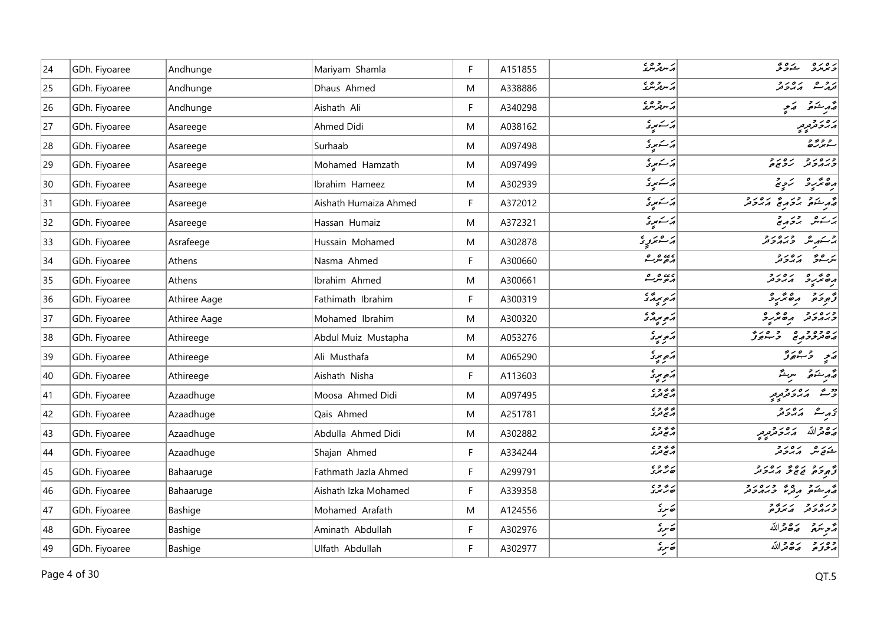| 24 | GDh. Fiyoaree | Andhunge     | Mariyam Shamla        | F           | A151855 | پر سرچره پر                          | سنذر بحر<br>ر ه ر ه<br>د بربرگ                                 |
|----|---------------|--------------|-----------------------|-------------|---------|--------------------------------------|----------------------------------------------------------------|
| 25 | GDh. Fiyoaree | Andhunge     | Dhaus Ahmed           | M           | A338886 | بر سرچر ص ۽<br>مرس                   | ترتر ہے۔<br>پرور و                                             |
| 26 | GDh. Fiyoaree | Andhunge     | Aishath Ali           | F           | A340298 | پر سرچر ص                            | أقهر شنعتى أقدمي                                               |
| 27 | GDh. Fiyoaree | Asareege     | Ahmed Didi            | M           | A038162 | ېر کے بیری<br>پ                      | ر ص د و<br>د بر د ترتدبر                                       |
| 28 | GDh. Fiyoaree | Asareege     | Surhaab               | ${\sf M}$   | A097498 | ېر کے بیری<br>پ                      | ر و و د<br>سائىرى                                              |
| 29 | GDh. Fiyoaree | Asareege     | Mohamed Hamzath       | M           | A097499 | ېر کے بیری<br>پ                      | כנסנכ נסנכ<br>כגמכנג לכבי                                      |
| 30 | GDh. Fiyoaree | Asareege     | Ibrahim Hameez        | M           | A302939 | ېر کے پی <sub>و</sub> ی<br>په        | رە ئرىر ئىر ئى                                                 |
| 31 | GDh. Fiyoaree | Asareege     | Aishath Humaiza Ahmed | F           | A372012 | ېز ستوپي <sup>ي</sup><br>په          |                                                                |
| 32 | GDh. Fiyoaree | Asareege     | Hassan Humaiz         | M           | A372321 | ىر سەئىرى<br>مەسىرى                  | بر کے معرضہ جات                                                |
| 33 | GDh. Fiyoaree | Asrafeege    | Hussain Mohamed       | M           | A302878 | ىر ھ <sub>ە</sub> پىرى <sub>رى</sub> | أير شهر شده در در د                                            |
| 34 | GDh. Fiyoaree | Athens       | Nasma Ahmed           | F           | A300660 | ، <i>پره هر</i><br>مر <i>ه</i> سرب   | ىر ئەھمى ئەرەبەر ئە                                            |
| 35 | GDh. Fiyoaree | Athens       | Ibrahim Ahmed         | M           | A300661 | <sub>ى يە</sub> ھ <sub>ر</sub> م     | مەھترىرى بەردىر                                                |
| 36 | GDh. Fiyoaree | Athiree Aage | Fathimath Ibrahim     | F           | A300319 | أروبروي                              | و وده مقدره                                                    |
| 37 | GDh. Fiyoaree | Athiree Aage | Mohamed Ibrahim       | M           | A300320 | اړه پروي<br>ا <u>ره</u> پروي         |                                                                |
| 38 | GDh. Fiyoaree | Athireege    | Abdul Muiz Mustapha   | M           | A053276 | ړ<br>مرموسونه                        | נסכס כם כסנדים<br>הסתיכבה ב-יית                                |
| 39 | GDh. Fiyoaree | Athireege    | Ali Musthafa          | M           | A065290 | ر<br>د حومور                         |                                                                |
| 40 | GDh. Fiyoaree | Athireege    | Aishath Nisha         | F           | A113603 | ړ<br>مرموسونه                        | ة مرشورة المريضة<br>1. مرشورة المريضة<br>1. مرضوع أمريكي مريضي |
| 41 | GDh. Fiyoaree | Azaadhuge    | Moosa Ahmed Didi      | M           | A097495 | یږ و د<br>در سخ توری                 |                                                                |
| 42 | GDh. Fiyoaree | Azaadhuge    | Qais Ahmed            | M           | A251781 | ږ د د د<br>پر پم تر د                | تورث مده دو                                                    |
| 43 | GDh. Fiyoaree | Azaadhuge    | Abdulla Ahmed Didi    | M           | A302882 | ا پر بر و بر<br>اور پنج تعری         | ره و الله مردر و مرمرمر<br>مرده مرالله مربر د مرمرمر           |
| 44 | GDh. Fiyoaree | Azaadhuge    | Shajan Ahmed          | $\mathsf F$ | A334244 | پر پر د ،<br>  هر بح تر پر           | شەق ھەر ئەر                                                    |
| 45 | GDh. Fiyoaree | Bahaaruge    | Fathmath Jazla Ahmed  | F           | A299791 | ر و د ،<br>ن <i>ه ر</i> بر د         | و د د ده ده د د                                                |
| 46 | GDh. Fiyoaree | Bahaaruge    | Aishath Izka Mohamed  | $\mathsf F$ | A339358 | ر پر و ،<br>ن <i>ن</i> تر د          | و مشتور مقرع ورورد                                             |
| 47 | GDh. Fiyoaree | Bashige      | Mohamed Arafath       | M           | A124556 | ر<br>ھىرى                            | وره رو درود                                                    |
| 48 | GDh. Fiyoaree | Bashige      | Aminath Abdullah      | $\mathsf F$ | A302976 | نه مړي<br>په مړي                     | مُحرَّمَهِ مَصْغَراللَّه                                       |
| 49 | GDh. Fiyoaree | Bashige      | Ulfath Abdullah       | F           | A302977 | ر<br>ځېږې                            | وه دو بره دالله                                                |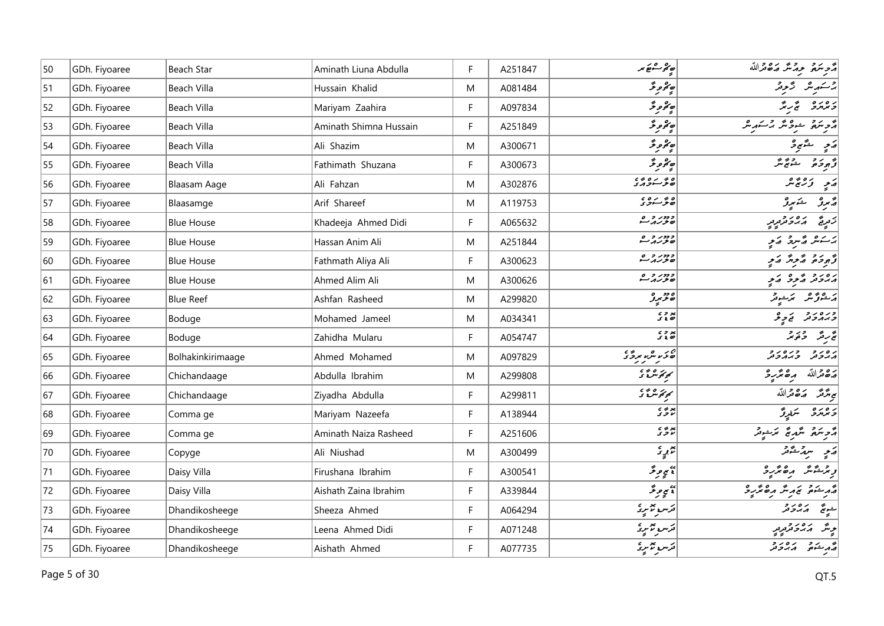| 50 | GDh. Fiyoaree | <b>Beach Star</b>   | Aminath Liuna Abdulla  | F  | A251847 | ھەممەت كۈنىر                                      | وتحريبهم مروتثر وكافدالله           |
|----|---------------|---------------------|------------------------|----|---------|---------------------------------------------------|-------------------------------------|
| 51 | GDh. Fiyoaree | <b>Beach Villa</b>  | Hussain Khalid         | M  | A081484 | ھەمچە بۇ ق                                        | يزحكر مثر المجموش                   |
| 52 | GDh. Fiyoaree | <b>Beach Villa</b>  | Mariyam Zaahira        | F. | A097834 | حو محر عر                                         | رەرە ئەر                            |
| 53 | GDh. Fiyoaree | <b>Beach Villa</b>  | Aminath Shimna Hussain | F. | A251849 | جەمھ بەرتىگە<br>                                  | أأدينهم شوديكر برسكريكر             |
| 54 | GDh. Fiyoaree | <b>Beach Villa</b>  | Ali Shazim             | M  | A300671 | ھەمچە<br>ئ <sup>ە</sup>                           | ړې ځمنې د                           |
| 55 | GDh. Fiyoaree | Beach Villa         | Fathimath Shuzana      | F  | A300673 | ھەمچە <i>مەڭ</i>                                  | ۇ <sub>م</sub> وڭ <sub>ۇ</sub> شۇڭگ |
| 56 | GDh. Fiyoaree | <b>Blaasam Aage</b> | Ali Fahzan             | M  | A302876 | ە ئۆسەدە »،<br>ھۆسەد <i>م</i>                     | ە ئەستى ئە                          |
| 57 | GDh. Fiyoaree | Blaasamge           | Arif Shareef           | M  | A119753 | ە ئۇستەد ئ                                        | ە بىر ئىسىمبىر<br>مەر               |
| 58 | GDh. Fiyoaree | <b>Blue House</b>   | Khadeeja Ahmed Didi    | F  | A065632 | ە دەر دەر                                         | ر<br>ئەرى <i>غ مەدە</i> مەرىرىر     |
| 59 | GDh. Fiyoaree | <b>Blue House</b>   | Hassan Anim Ali        | M  | A251844 | ە دەر دەر                                         |                                     |
| 60 | GDh. Fiyoaree | <b>Blue House</b>   | Fathmath Aliya Ali     | F. | A300623 | ە دىر دەر                                         | ومجودة مزمر مز                      |
| 61 | GDh. Fiyoaree | <b>Blue House</b>   | Ahmed Alim Ali         | M  | A300626 | د دور د ه<br><i>ه م</i> ر <i>د</i> ۸              | رەرد گەرۋ كەر                       |
| 62 | GDh. Fiyoaree | <b>Blue Reef</b>    | Ashfan Rasheed         | M  | A299820 | 20 مربو<br>  حامز سرقر                            | ر مۇرگىر كېرىشونلە                  |
| 63 | GDh. Fiyoaree | Boduge              | Mohamed Jameel         | M  | A034341 | 550                                               | ورەرد پەر                           |
| 64 | GDh. Fiyoaree | Boduge              | Zahidha Mularu         | F  | A054747 | 550                                               | لتجرير وزو                          |
| 65 | GDh. Fiyoaree | Bolhakinkirimaage   | Ahmed Mohamed          | M  | A097829 | ەر<br>ھۆرىدىرىرى                                  | ג סגב בג סגב<br>גגבע בגגבע          |
| 66 | GDh. Fiyoaree | Chichandaage        | Abdulla Ibrahim        | M  | A299808 | ى ئەرەپ                                           | ەھىراللە<br>ە ھەترىر ۋ              |
| 67 | GDh. Fiyoaree | Chichandaage        | Ziyadha Abdulla        | F. | A299811 | ى ئەرەپ                                           | مور <del>ت</del> قر محصر الله       |
| 68 | GDh. Fiyoaree | Comma ge            | Mariyam Nazeefa        | F  | A138944 | بروي<br>مرد د                                     | رەرە سَنرِرَّ                       |
| 69 | GDh. Fiyoaree | Comma ge            | Aminath Naiza Rasheed  | F  | A251606 | بروي<br>مرد د                                     | הכתב תוש תייד                       |
| 70 | GDh. Fiyoaree | Copyge              | Ali Niushad            | M  | A300499 | بر<br>موري                                        | أوسم المستحقق                       |
| 71 | GDh. Fiyoaree | Daisy Villa         | Firushana Ibrahim      | F  | A300541 | ېم پروگر<br>پوځورگ                                | ر چېشمېر د هغه ده                   |
| 72 | GDh. Fiyoaree | Daisy Villa         | Aishath Zaina Ibrahim  | F  | A339844 | اء<br>موعر                                        | ה<br>הרובים אות וסתים               |
| 73 | GDh. Fiyoaree | Dhandikosheege      | Sheeza Ahmed           | F  | A064294 | نەسى <sub>د</sub> ىيە<br>تەسىر تە <sub>سم</sub> ە | شویج کم پرورو<br>پ                  |
| 74 | GDh. Fiyoaree | Dhandikosheege      | Leena Ahmed Didi       | F. | A071248 | تئرسد بيوري                                       | و مگر ده در ورود<br>په مگر د ترورو  |
| 75 | GDh. Fiyoaree | Dhandikosheege      | Aishath Ahmed          | F  | A077735 | مَدْسُوعٍ سَرِيح                                  | ه دره ده ده دره<br>مگه شوه که برخ   |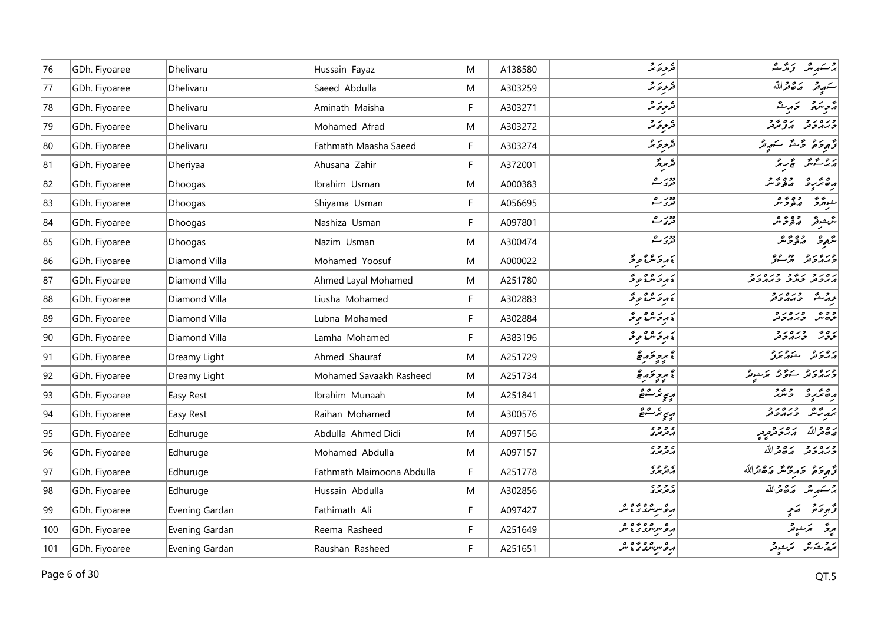| 76  | GDh. Fiyoaree | Dhelivaru      | Hussain Fayaz             | M  | A138580 | مَدْ عِرْ مَهْ                   | جر شهر مگر تو تر شده به                                                                                                                                                                                                                                                                                                                                                                                                                                                  |
|-----|---------------|----------------|---------------------------|----|---------|----------------------------------|--------------------------------------------------------------------------------------------------------------------------------------------------------------------------------------------------------------------------------------------------------------------------------------------------------------------------------------------------------------------------------------------------------------------------------------------------------------------------|
| 77  | GDh. Fiyoaree | Dhelivaru      | Saeed Abdulla             | M  | A303259 | قرموتر                           | سكوريتر وكانفاطية                                                                                                                                                                                                                                                                                                                                                                                                                                                        |
| 78  | GDh. Fiyoaree | Dhelivaru      | Aminath Maisha            | F. | A303271 | قرموحر                           | أرتج سكرة التحاريث                                                                                                                                                                                                                                                                                                                                                                                                                                                       |
| 79  | GDh. Fiyoaree | Dhelivaru      | Mohamed Afrad             | M  | A303272 | مَدْمِرِهُ مَدْ                  | כנסנכ נספכ<br>כגמכנג הציגנג                                                                                                                                                                                                                                                                                                                                                                                                                                              |
| 80  | GDh. Fiyoaree | Dhelivaru      | Fathmath Maasha Saeed     | F  | A303274 | ا مگر مرکز<br>استخرام مگر        | وتجوحا والحث التنهير                                                                                                                                                                                                                                                                                                                                                                                                                                                     |
| 81  | GDh. Fiyoaree | Dheriyaa       | Ahusana Zahir             | F  | A372001 | قرىرىژ                           | ىر 2 مىگە ئىق بىر بىر                                                                                                                                                                                                                                                                                                                                                                                                                                                    |
| 82  | GDh. Fiyoaree | Dhoogas        | Ibrahim Usman             | M  | A000383 | دد ر ح<br>تری سه                 | رە ئەرە دەپرە                                                                                                                                                                                                                                                                                                                                                                                                                                                            |
| 83  | GDh. Fiyoaree | Dhoogas        | Shiyama Usman             | F  | A056695 | دد ر ح<br>تری سه                 | شورگر متور می                                                                                                                                                                                                                                                                                                                                                                                                                                                            |
| 84  | GDh. Fiyoaree | Dhoogas        | Nashiza Usman             | F. | A097801 | ود ر ہے۔                         | نگرېسونگر د <i>ه</i> رڅرنگر                                                                                                                                                                                                                                                                                                                                                                                                                                              |
| 85  | GDh. Fiyoaree | Dhoogas        | Nazim Usman               | M  | A300474 | ود ر ہے۔                         | شَغِرَ صَغْرَبْتَر                                                                                                                                                                                                                                                                                                                                                                                                                                                       |
| 86  | GDh. Fiyoaree | Diamond Villa  | Mohamed Yoosuf            | M  | A000022 | ئەر ئەندى بور                    | כנים ני מי כפ                                                                                                                                                                                                                                                                                                                                                                                                                                                            |
| 87  | GDh. Fiyoaree | Diamond Villa  | Ahmed Layal Mohamed       | M  | A251780 | } رِدَسْنَا وِدَّ                | גם גם גוד כגם גב<br>גגבת <del>בתב</del> בגגבת                                                                                                                                                                                                                                                                                                                                                                                                                            |
| 88  | GDh. Fiyoaree | Diamond Villa  | Liusha Mohamed            | F  | A302883 | ئەر ئەشۋىر ئە                    | ورث ورەرو                                                                                                                                                                                                                                                                                                                                                                                                                                                                |
| 89  | GDh. Fiyoaree | Diamond Villa  | Lubna Mohamed             | F  | A302884 | أَمْرِدَ مَثَّنَّا وِثَرَّ       | ووي ورەرو                                                                                                                                                                                                                                                                                                                                                                                                                                                                |
| 90  | GDh. Fiyoaree | Diamond Villa  | Lamha Mohamed             | F  | A383196 | ئەرجەمىدى ھ                      | ره و دره د و<br>نووز وبرمان                                                                                                                                                                                                                                                                                                                                                                                                                                              |
| 91  | GDh. Fiyoaree | Dreamy Light   | Ahmed Shauraf             | M  | A251729 | ۽ <sub>مرح</sub> پر و            | رەرد شەدىرد<br>مەرىر شەمەر                                                                                                                                                                                                                                                                                                                                                                                                                                               |
| 92  | GDh. Fiyoaree | Dreamy Light   | Mohamed Savaakh Rasheed   | M  | A251734 | ۽ س <sub>ِرچ</sub> و ترم ۾       | ورەرو رەز برخوتر                                                                                                                                                                                                                                                                                                                                                                                                                                                         |
| 93  | GDh. Fiyoaree | Easy Rest      | Ibrahim Munaah            | M  | A251841 | ارىپە ئەرمۇھ                     | رەپرىد دىگر                                                                                                                                                                                                                                                                                                                                                                                                                                                              |
| 94  | GDh. Fiyoaree | Easy Rest      | Raihan Mohamed            | M  | A300576 | پرېږ شرعو                        | بررميش ورەرد                                                                                                                                                                                                                                                                                                                                                                                                                                                             |
| 95  | GDh. Fiyoaree | Edhuruge       | Abdulla Ahmed Didi        | M  | A097156 | ړ و و ړ<br>پر تر بر <sub>ک</sub> | ر محمدالله مرور و مرمرمر<br>مصرالله مركز در موسيق                                                                                                                                                                                                                                                                                                                                                                                                                        |
| 96  | GDh. Fiyoaree | Edhuruge       | Mohamed Abdulla           | M  | A097157 | ے و و ۽<br>پر تعري               | وره رو ده و الله                                                                                                                                                                                                                                                                                                                                                                                                                                                         |
| 97  | GDh. Fiyoaree | Edhuruge       | Fathmath Maimoona Abdulla | F  | A251778 | ې د د پ<br>پر تر پر پ            | قرم وحدد وحمد وكامرالله                                                                                                                                                                                                                                                                                                                                                                                                                                                  |
| 98  | GDh. Fiyoaree | Edhuruge       | Hussain Abdulla           | M  | A302856 | ے و و ے<br>پر تعریمی             | جرسكمريثر الاقتصالله                                                                                                                                                                                                                                                                                                                                                                                                                                                     |
| 99  | GDh. Fiyoaree | Evening Gardan | Fathimath Ali             | F  | A097427 | ر ۋېرىترى <i>دى</i> ھ            |                                                                                                                                                                                                                                                                                                                                                                                                                                                                          |
| 100 | GDh. Fiyoaree | Evening Gardan | Reema Rasheed             | F. | A251649 | ە قەسرسىدى يەر<br>مەھسرسىدى ي    | $\begin{array}{cc} \mathcal{L}_{\mathcal{A}} & \mathcal{L}_{\mathcal{A}} & \mathcal{L}_{\mathcal{A}} \\ \mathcal{L}_{\mathcal{A}} & \mathcal{L}_{\mathcal{A}} & \mathcal{L}_{\mathcal{A}} \\ \mathcal{L}_{\mathcal{A}} & \mathcal{L}_{\mathcal{A}} & \mathcal{L}_{\mathcal{A}} \\ \mathcal{L}_{\mathcal{A}} & \mathcal{L}_{\mathcal{A}} & \mathcal{L}_{\mathcal{A}} \\ \mathcal{L}_{\mathcal{A}} & \mathcal{L}_{\mathcal{A}} & \mathcal{L}_{\mathcal{A}} \\ \end{array}$ |
| 101 | GDh. Fiyoaree | Evening Gardan | Raushan Rasheed           | F  | A251651 | رە بىر بىرى ئەم بىر<br>ب         | ىردىكەش ئۇسۇر                                                                                                                                                                                                                                                                                                                                                                                                                                                            |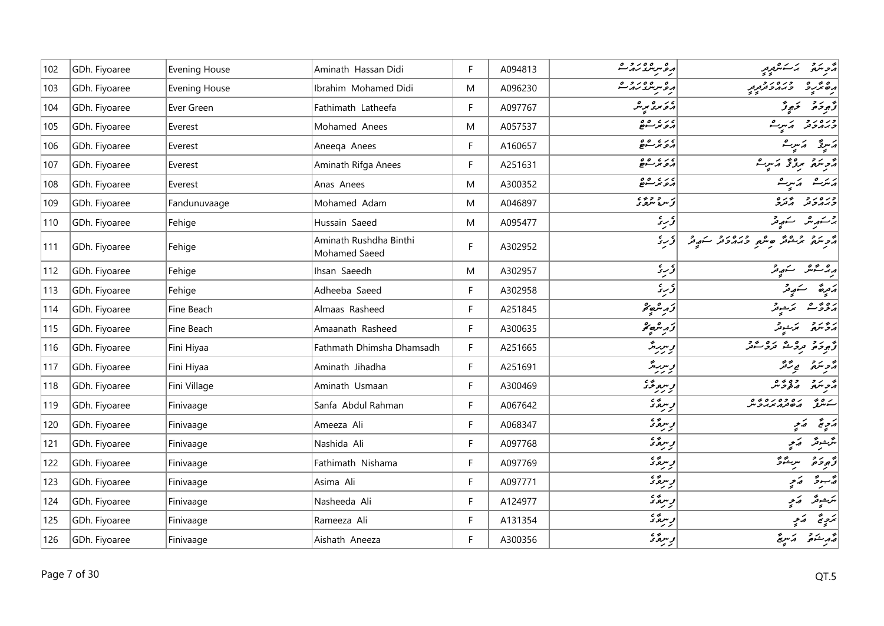| 102 | GDh. Fiyoaree | <b>Evening House</b> | Aminath Hassan Didi                     | F. | A094813 | مەھسسى ئەمرو ھ                   | ۇ ئەسكەن ئەسكەتلەرلىر<br>مەسكەن ئەسكەت               |
|-----|---------------|----------------------|-----------------------------------------|----|---------|----------------------------------|------------------------------------------------------|
| 103 | GDh. Fiyoaree | <b>Evening House</b> | Ibrahim Mohamed Didi                    | M  | A096230 | مەھسىر مەم بەر م                 | رەپرە دېرەدىرىرىر<br>رەپرە دېرەدىرىرىر<br>ئېرەق كېرۇ |
| 104 | GDh. Fiyoaree | Ever Green           | Fathimath Latheefa                      | F  | A097767 | <br>  د ځو مر <sub>و</sub> مړينر |                                                      |
| 105 | GDh. Fiyoaree | Everest              | Mohamed Anees                           | M  | A057537 | ې په ده ه<br>مرغ مرسو            | כנפנב געל                                            |
| 106 | GDh. Fiyoaree | Everest              | Aneega Anees                            | F. | A160657 | ې پر په ده ه<br>مرغ مرسو         | أماسيقى ماسرت                                        |
| 107 | GDh. Fiyoaree | Everest              | Aminath Rifga Anees                     | F  | A251631 | ء پر ۽ موھ                       | أأوسكم برؤثا أسرب                                    |
| 108 | GDh. Fiyoaree | Everest              | Anas Anees                              | M  | A300352 | ى رە رە ھ<br>مەمەرسىق            | كالكرك كالمريث                                       |
| 109 | GDh. Fiyoaree | Fandunuvaage         | Mohamed Adam                            | M  | A046897 | ر سره بروي<br>توسيع سرچ پر       | ورەر د پرە<br><i>جد</i> ىرىتر كەترى                  |
| 110 | GDh. Fiyoaree | Fehige               | Hussain Saeed                           | M  | A095477 | ڈىرى                             | چەسىرىش سىھوش                                        |
| 111 | GDh. Fiyoaree | Fehige               | Aminath Rushdha Binthi<br>Mohamed Saeed | F  | A302952 | ی ر می<br>قرمرن                  | ה מים היימה ביות כמות הייתה                          |
| 112 | GDh. Fiyoaree | Fehige               | Ihsan Saeedh                            | M  | A302957 | ې رې<br>تر گر                    | ىر ئەشقىر سەر تۈر                                    |
| 113 | GDh. Fiyoaree | Fehige               | Adheeba Saeed                           | F  | A302958 | ې<br>توري                        | ر<br>مەمرىق سىمەمۇر                                  |
| 114 | GDh. Fiyoaree | Fine Beach           | Almaas Rasheed                          | F. | A251845 | ز <sub>مرس</sub> وپه پو          | رەپ <sub>ە</sub> ر<br>مەخەر مەش <sub>ە</sub> ر       |
| 115 | GDh. Fiyoaree | Fine Beach           | Amaanath Rasheed                        | F. | A300635 | ترە بىرھەمچ                      | رورد برشوتر                                          |
| 116 | GDh. Fiyoaree | Fini Hiyaa           | Fathmath Dhimsha Dhamsadh               | F. | A251665 | او میں ہڈ<br>گیسے                | و و ده مرد شکا مرد شهر                               |
| 117 | GDh. Fiyoaree | Fini Hiyaa           | Aminath Jihadha                         | F  | A251691 | او سربر پژ<br>سند                | أأدبتكم وتكر                                         |
| 118 | GDh. Fiyoaree | Fini Village         | Aminath Usmaan                          | F  | A300469 | او سره وي.<br><u>اب سره</u> وي.  | و ده ده وه وه ده و                                   |
| 119 | GDh. Fiyoaree | Finivaage            | Sanfa Abdul Rahman                      | F  | A067642 | و سرچ <sup>ي</sup>               | ره ده ده ده ده ده و                                  |
| 120 | GDh. Fiyoaree | Finivaage            | Ameeza Ali                              | F  | A068347 | و سرچ <sup>ي</sup>               | ړې په                                                |
| 121 | GDh. Fiyoaree | Finivaage            | Nashida Ali                             | F  | A097768 | وسرهمی                           | ش<br>سرگشونر<br>ەتىر                                 |
| 122 | GDh. Fiyoaree | Finivaage            | Fathimath Nishama                       | F  | A097769 | و سرچ <sup>ي</sup>               | ومودة الرحقة                                         |
| 123 | GDh. Fiyoaree | Finivaage            | Asima Ali                               | F  | A097771 | و سرچ ی                          | ويسبرة<br>رځمنه                                      |
| 124 | GDh. Fiyoaree | Finivaage            | Nasheeda Ali                            | F  | A124977 | وسرځ ځ                           | ىكەشىرەگە<br>ئە<br>ەئىپ                              |
| 125 | GDh. Fiyoaree | Finivaage            | Rameeza Ali                             | F. | A131354 | و سرچ <sup>ي</sup>               | ىر<br>ئىرچە<br>ەكىپىيە                               |
| 126 | GDh. Fiyoaree | Finivaage            | Aishath Aneeza                          | F. | A300356 | و سرچ <sup>ء</sup>               | ومرشو مسبع                                           |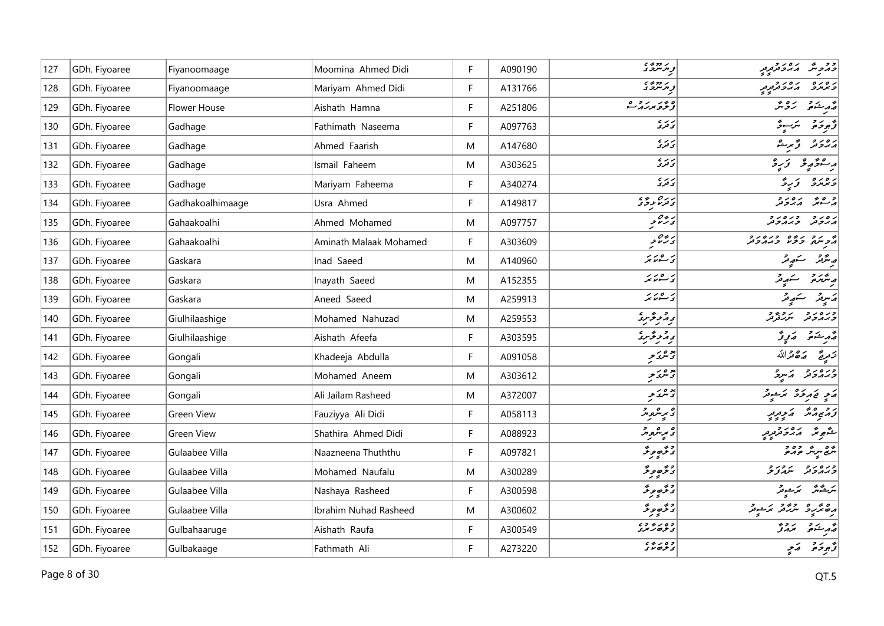| 127 | GDh. Fiyoaree | Fiyanoomaage      | Moomina Ahmed Didi     | F           | A090190 | ا پر دوږ ،<br>ابو مرد د                   | وړو شه رورو وروږ                               |
|-----|---------------|-------------------|------------------------|-------------|---------|-------------------------------------------|------------------------------------------------|
| 128 | GDh. Fiyoaree | Fiyanoomaage      | Mariyam Ahmed Didi     | F           | A131766 | ا د دوه ،<br>او مرسرچ د                   | ر ه ره د برو د ورور                            |
| 129 | GDh. Fiyoaree | Flower House      | Aishath Hamna          | F           | A251806 | ە ئەبرىر ئەرە<br>كەنزى <i>ر ئەرەك</i>     | مەستىم ئەر                                     |
| 130 | GDh. Fiyoaree | Gadhage           | Fathimath Naseema      | F           | A097763 | ر ر پ<br>ک تعرک                           | رُّمِودَة كَرَسِيرَ                            |
| 131 | GDh. Fiyoaree | Gadhage           | Ahmed Faarish          | M           | A147680 | پر پر پ<br>  بی تعری                      | رەرد ۇىرى                                      |
| 132 | GDh. Fiyoaree | Gadhage           | Ismail Faheem          | M           | A303625 | ر ر پ<br>ک تعرک                           | وستوصفح وكرو                                   |
| 133 | GDh. Fiyoaree | Gadhage           | Mariyam Faheema        | F           | A340274 | پر پر پ<br>  بی تعری                      | دەرە ئەر                                       |
| 134 | GDh. Fiyoaree | Gadhakoalhimaage  | Usra Ahmed             | F           | A149817 | ر رہ<br>تحصر مورد تح                      | و هغه ده دو                                    |
| 135 | GDh. Fiyoaree | Gahaakoalhi       | Ahmed Mohamed          | M           | A097757 | ئەشرىقى بە                                | נפנד בנסנד<br>גגבע בגגבע                       |
| 136 | GDh. Fiyoaree | Gahaakoalhi       | Aminath Malaak Mohamed | $\mathsf F$ | A303609 | پر صحيح<br>  پر شر عمو                    | 2000 000 0000                                  |
| 137 | GDh. Fiyoaree | Gaskara           | Inad Saeed             | M           | A140960 | ى سەندىكە                                 | ە ئىگىر كەر ئىكر                               |
| 138 | GDh. Fiyoaree | Gaskara           | Inayath Saeed          | M           | A152355 | ىر ھەيزىر                                 | ويتكذف كسكويتر                                 |
| 139 | GDh. Fiyoaree | Gaskara           | Aneed Saeed            | M           | A259913 | ى ھەرىر                                   | ړَسرِټر کرمړنگر                                |
| 140 | GDh. Fiyoaree | Giulhilaashige    | Mohamed Nahuzad        | M           | A259553 | ى <sub>د</sub> ەر عرىچە سرى<br>س          | وره ر و سروره و<br><i>و پرو</i> وتر - سرپرتوتر |
| 141 | GDh. Fiyoaree | Giulhilaashige    | Aishath Afeefa         | F           | A303595 | ى <sub>د</sub> ە ئىرىگەرى<br>ئى           | أمار مشكرة المكافية وكالمح                     |
| 142 | GDh. Fiyoaree | Gongali           | Khadeeja Abdulla       | F           | A091058 | بره بر<br>ئ                               | ترتويح كاكاة الله                              |
| 143 | GDh. Fiyoaree | Gongali           | Mohamed Aneem          | M           | A303612 | لوەرىر                                    | כממכנג הייתב                                   |
| 144 | GDh. Fiyoaree | Gongali           | Ali Jailam Rasheed     | M           | A372007 | لحمقوني                                   | كالمح فالمركاك المراشوش                        |
| 145 | GDh. Fiyoaree | <b>Green View</b> | Fauziyya Ali Didi      | F           | A058113 | ە بېرىتر <sub>ى</sub> رىژ                 | ورمي مع المعدود                                |
| 146 | GDh. Fiyoaree | <b>Green View</b> | Shathira Ahmed Didi    | F           | A088923 | ە بېرىتر <sub>ى</sub> رىژ                 |                                                |
| 147 | GDh. Fiyoaree | Gulaabee Villa    | Naazneena Thuththu     | $\mathsf F$ | A097821 | د ځرمو ځه                                 | ر وه د ده د<br>شي سرسر مورمو                   |
| 148 | GDh. Fiyoaree | Gulaabee Villa    | Mohamed Naufalu        | M           | A300289 | ۇ ئۇھ <sub>ا</sub> بو ئە                  | ورەرو بەدىرو                                   |
| 149 | GDh. Fiyoaree | Gulaabee Villa    | Nashaya Rasheed        | F.          | A300598 | د ژ <sub>ھ</sub> و ژ                      | <i>للرڪيوگر ڪرڪو</i> گر                        |
| 150 | GDh. Fiyoaree | Gulaabee Villa    | Ibrahim Nuhad Rasheed  | M           | A300602 | د ژَ <sub>ھ</sub> ورُ                     | ەھەر ئەر ئەر ئەس كەن ئاي ئەس ئەر ئەر           |
| 151 | GDh. Fiyoaree | Gulbahaaruge      | Aishath Raufa          | F           | A300549 | و ه ر پر و ،<br>د <del>ن</del> ون تر بر د | و ديدو دوو<br>مارشو مدوق                       |
| 152 | GDh. Fiyoaree | Gulbakaage        | Fathmath Ali           | F           | A273220 | و ه ر پر د<br>د <del>ن</del> ره نړۍ       | وٌجوحَ حَمَدٍ                                  |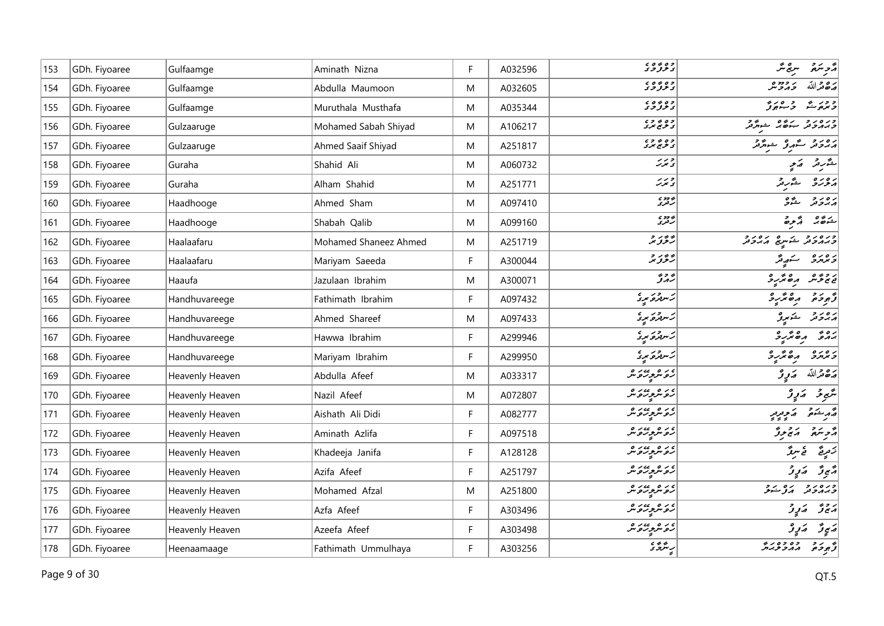| 153 | GDh. Fiyoaree | Gulfaamge       | Aminath Nizna         | F         | A032596 | وه پ <sup>ر</sup> ه بر<br>د <del>و</del> تو و د | سرچ سگر<br>أرمر وسره                                         |
|-----|---------------|-----------------|-----------------------|-----------|---------|-------------------------------------------------|--------------------------------------------------------------|
| 154 | GDh. Fiyoaree | Gulfaamge       | Abdulla Maumoon       | M         | A032605 | د ه و ه ه ،<br>د ترتر د د                       | برە تراللە<br>$0.222 -$                                      |
| 155 | GDh. Fiyoaree | Gulfaamge       | Muruthala Musthafa    | M         | A035344 | و ه و ه ه ،<br>د نروگر د                        | د ۱۵۷۵.<br>تر <i>ښ</i> ېږو<br>د در به<br><del>ر</del> بره ب  |
| 156 | GDh. Fiyoaree | Gulzaaruge      | Mohamed Sabah Shiyad  | M         | A106217 | و ه پر و ء<br>د نومځ مرد                        | وره رو در ده ۵<br><i>و بر مرو تر چگ</i> ر شورگر              |
| 157 | GDh. Fiyoaree | Gulzaaruge      | Ahmed Saaif Shiyad    | M         | A251817 | و ه پر و ء<br>د نومځ مود                        | رەرد شەرۇ ھەدۇر                                              |
| 158 | GDh. Fiyoaree | Guraha          | Shahid Ali            | M         | A060732 | و بر بر<br>ئ                                    | ڪرير ڏيو                                                     |
| 159 | GDh. Fiyoaree | Guraha          | Alham Shahid          | M         | A251771 | و بر بر<br>ئ                                    | رەرە ش <sup>ە</sup> رى <sub>ر</sub>                          |
| 160 | GDh. Fiyoaree | Haadhooge       | Ahmed Sham            | ${\sf M}$ | A097410 | یپ وو بر<br>مرکزی                               | بر ه بر د<br>م <i>رگ</i> د گر<br>ستذو                        |
| 161 | GDh. Fiyoaree | Haadhooge       | Shabah Qalib          | M         | A099160 | پر دو بر<br>مرتوری                              | شەڭ بە<br>دًوهُ                                              |
| 162 | GDh. Fiyoaree | Haalaafaru      | Mohamed Shaneez Ahmed | M         | A251719 | ژ ژ ژ ژ                                         | ورەرو شەھرە مەدو                                             |
| 163 | GDh. Fiyoaree | Haalaafaru      | Mariyam Saeeda        | F.        | A300044 | ژ ژ ژ بر                                        | ر ه ر ه<br><del>ر</del> بربرگ                                |
| 164 | GDh. Fiyoaree | Haaufa          | Jazulaan Ibrahim      | M         | A300071 | ردوسي                                           | ەھ ئرىرى<br>ر ج بۇ بۇ<br>ق <sub>ا</sub> ج ئۈنىر              |
| 165 | GDh. Fiyoaree | Handhuvareege   | Fathimath Ibrahim     | F         | A097432 | ر<br>ئەسەرى مور                                 | مەھرىر<br>وٌموِ رَمْ                                         |
| 166 | GDh. Fiyoaree | Handhuvareege   | Ahmed Shareef         | M         | A097433 | ئەسە <i>تى ئې</i> رى                            | بر ه بر د<br>م <i>. ب</i> ر <del>د</del> تر<br>ے کیمرو<br>مش |
| 167 | GDh. Fiyoaree | Handhuvareege   | Hawwa Ibrahim         | F         | A299946 | ر سرچري پر <sub>چ</sub>                         | ەھ تررۈ<br>ر ه بو<br>برد و                                   |
| 168 | GDh. Fiyoaree | Handhuvareege   | Mariyam Ibrahim       | F.        | A299950 | ر سر پرې <sub>سر</sub> په                       | ڔۊڋڔۯ<br>ر ه پر ه<br><del>ر</del> بربرگ                      |
| 169 | GDh. Fiyoaree | Heavenly Heaven | Abdulla Afeef         | M         | A033317 | <sup>ى ر</sup> ەپبۇر <i>ە</i> ر                 | برة قرالله<br>ەردى                                           |
| 170 | GDh. Fiyoaree | Heavenly Heaven | Nazil Afeef           | M         | A072807 | <i>، د ه پېړه</i> مر                            | شەخر كەردۇ                                                   |
| 171 | GDh. Fiyoaree | Heavenly Heaven | Aishath Ali Didi      | F         | A082777 | ، رەپەرە<br>رەبىر پەرەتر                        | د مر شوځ<br>مر<br>ر کو ترتر<br>مشخصی                         |
| 172 | GDh. Fiyoaree | Heavenly Heaven | Aminath Azlifa        | F         | A097518 | ، رە <sub>ھ</sub> پەر ە                         | أأدشه<br>ەسىم بور                                            |
| 173 | GDh. Fiyoaree | Heavenly Heaven | Khadeeja Janifa       | F         | A128128 | ، رە <sub>م</sub> وتئەر ھ                       | ر<br>ترمړيځ<br>نج سروگر                                      |
| 174 | GDh. Fiyoaree | Heavenly Heaven | Azifa Afeef           | F         | A251797 | ، ر <sub>ە تىرى</sub> پەر ە                     | د دي د کړو                                                   |
| 175 | GDh. Fiyoaree | Heavenly Heaven | Mohamed Afzal         | M         | A251800 | <i>، د ه پېړه مر</i>                            | و ر ه ر و<br><i>و پر</i> پر <del>و</del> ر<br>ىرۇشۇ          |
| 176 | GDh. Fiyoaree | Heavenly Heaven | Azfa Afeef            | F         | A303496 | <sup>ى ر</sup> ەپبۇر <i>ە</i> ر                 | أرَجْنٌ أَرَبِيْ                                             |
| 177 | GDh. Fiyoaree | Heavenly Heaven | Azeefa Afeef          | F.        | A303498 | <sup>ى ر</sup> ە ئىر <i>مىت ئ</i> ىر            | ەئىي قە<br>ەرىپى                                             |
| 178 | GDh. Fiyoaree | Heenaamaage     | Fathimath Ummulhaya   | F         | A303256 | ر پژگری                                         | وه وه ره.<br>مەمرىرىتر<br>د مرد د                            |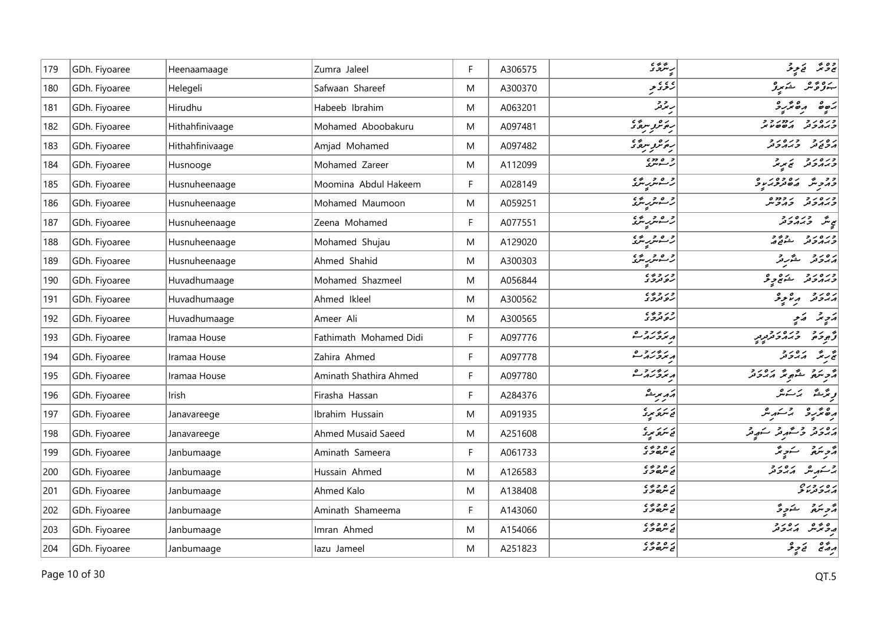| 179 | GDh. Fiyoaree | Heenaamaage     | Zumra Jaleel              | F | A306575 | ر پڙھ<br>پي                              | ة وه من من المحمد المحمد المحمد المحمد المحمد المحمد المحمد المحمد المحمد المحمد المحمد المحمد المحمد المحمد ا |
|-----|---------------|-----------------|---------------------------|---|---------|------------------------------------------|----------------------------------------------------------------------------------------------------------------|
| 180 | GDh. Fiyoaree | Helegeli        | Safwaan Shareef           | M | A300370 | ي ي ۽                                    | رەم شەرو                                                                                                       |
| 181 | GDh. Fiyoaree | Hirudhu         | Habeeb Ibrahim            | M | A063201 | رىژىژ                                    | برە ئۆرۈ<br>$\overset{\circ}{\mathscr{E}}\overset{\circ}{\mathscr{E}}\overset{\circ}{\mathscr{A}}$             |
| 182 | GDh. Fiyoaree | Hithahfinivaage | Mohamed Aboobakuru        | M | A097481 | رۇشۇر بىرقە ئە                           | כנסנכ נחנכב<br>בגתכת תם סייג                                                                                   |
| 183 | GDh. Fiyoaree | Hithahfinivaage | Amjad Mohamed             | M | A097482 | رىر ئىر بىر بۇ ئ                         | و ره ر و<br><i>د ب</i> رگرفر<br>پر 3 نے فر                                                                     |
| 184 | GDh. Fiyoaree | Husnooge        | Mohamed Zareer            | M | A112099 | ژ شه ده ،                                | ورەرو پەيد                                                                                                     |
| 185 | GDh. Fiyoaree | Husnuheenaage   | Moomina Abdul Hakeem      | F | A028149 | ر مشتر پر سر<br>مسلم                     | כגבית גם בפגעל                                                                                                 |
| 186 | GDh. Fiyoaree | Husnuheenaage   | Mohamed Maumoon           | M | A059251 | ر مەش <sub>رىپ</sub> ىدى<br>مەسرىپەتلىكى | כנסנכ נכחם<br><i>כג</i> ובע בובית                                                                              |
| 187 | GDh. Fiyoaree | Husnuheenaage   | Zeena Mohamed             | F | A077551 | ر 2 مەرىر بىرى<br>مەسىر بىرى <i>دى</i>   | ې شره دره د د<br>مخينگ حساب                                                                                    |
| 188 | GDh. Fiyoaree | Husnuheenaage   | Mohamed Shujau            | M | A129020 | ا ئەسىم ئىرى <i>مى</i> گە ئە             | وره رو درود<br><i>وبر دو</i> تر شو <sub>قع ه</sub>                                                             |
| 189 | GDh. Fiyoaree | Husnuheenaage   | Ahmed Shahid              | M | A300303 | <sup>ج</sup> مەشرىپەتترى                 | رەر دىرىر                                                                                                      |
| 190 | GDh. Fiyoaree | Huvadhumaage    | Mohamed Shazmeel          | M | A056844 | و ر و د  ،<br>ره ترو د                   | ورەرو دەۋر                                                                                                     |
| 191 | GDh. Fiyoaree | Huvadhumaage    | Ahmed Ikleel              | M | A300562 | و ر و » ،<br>ره ترو د                    |                                                                                                                |
| 192 | GDh. Fiyoaree | Huvadhumaage    | Ameer Ali                 | M | A300565 | و ر و د »<br>ر و ترو <sub>ک</sub>        | أرويتي أركمو                                                                                                   |
| 193 | GDh. Fiyoaree | Iramaa House    | Fathimath Mohamed Didi    | F | A097776 | ە ئەخرىر 2                               | 137973 3799                                                                                                    |
| 194 | GDh. Fiyoaree | Iramaa House    | Zahira Ahmed              | F | A097778 | ە ئەخرىر 2                               | په در کار دره در د                                                                                             |
| 195 | GDh. Fiyoaree | Iramaa House    | Aminath Shathira Ahmed    | F | A097780 | ە ئەخرىر 2                               | أثر مرد مشهو مدارد و برد                                                                                       |
| 196 | GDh. Fiyoaree | l Irish         | Firasha Hassan            | F | A284376 | ر<br>مرسر سنگ                            | أوبرشش برستانكر                                                                                                |
| 197 | GDh. Fiyoaree | Janavareege     | Ibrahim Hussain           | M | A091935 | ئے مترکھ سریحہ                           | رەنۇر ئەسىر                                                                                                    |
| 198 | GDh. Fiyoaree | Janavareege     | <b>Ahmed Musaid Saeed</b> | M | A251608 | ئے مترکھ سریحہ                           | גיגבת כלקבר הקבר                                                                                               |
| 199 | GDh. Fiyoaree | Janbumaage      | Aminath Sameera           | F | A061733 | ر ه د و »<br>نح سرح تر د                 | ۇ دېئىق سىچە ئۈ                                                                                                |
| 200 | GDh. Fiyoaree | Janbumaage      | Hussain Ahmed             | M | A126583 | ر ه د و و ،<br>تع سر <del>ه</del> تر د   | جر شهر شهر از مارد و در حال                                                                                    |
| 201 | GDh. Fiyoaree | Janbumaage      | Ahmed Kalo                | M | A138408 | ر ه د و و<br>تع سرحه تر د                | ر ە ر د رە<br>مەر دىرىم ئو                                                                                     |
| 202 | GDh. Fiyoaree | Janbumaage      | Aminath Shameema          | F | A143060 | ر ه د و و ،<br>تع سر <del>ه</del> تر د   | أأدوسكم المسكورة                                                                                               |
| 203 | GDh. Fiyoaree | Janbumaage      | Imran Ahmed               | M | A154066 | ر ه د و »<br>ق سره تر د                  | ەمەمۇ<br>بر ٥ پر و<br>م <i>ر</i> بر <del>و</del> تر                                                            |
| 204 | GDh. Fiyoaree | Janbumaage      | lazu Jameel               | M | A251823 | ر ه د و و ،<br>تع سر <del>ه</del> تر د   | درمج يختي                                                                                                      |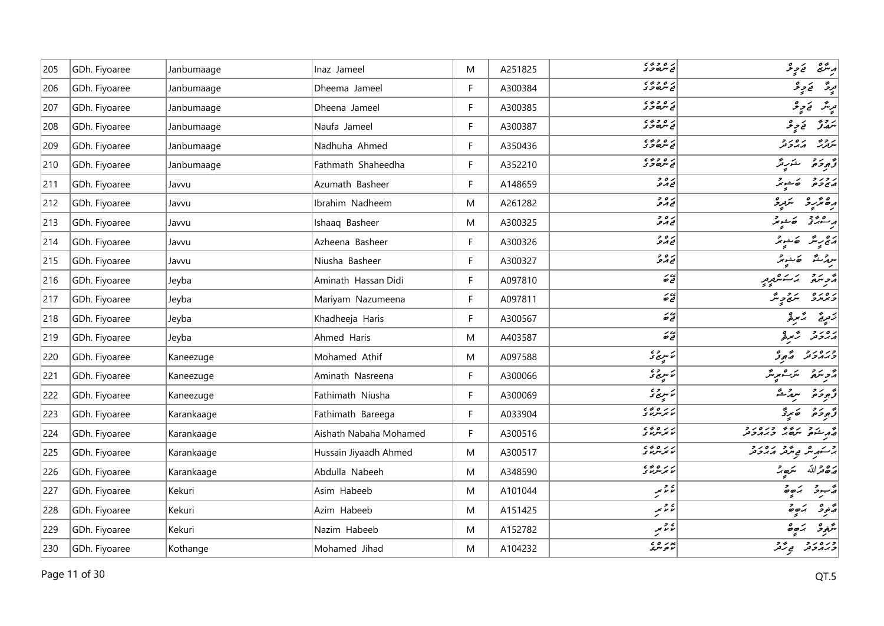| 205 | GDh. Fiyoaree | Janbumaage | Inaz Jameel            | M  | A251825 | ر ه و و »<br>تع سرچ تر ی                       | ويتبعج<br>تح تر بحر                                                                                                           |
|-----|---------------|------------|------------------------|----|---------|------------------------------------------------|-------------------------------------------------------------------------------------------------------------------------------|
| 206 | GDh. Fiyoaree | Janbumaage | Dheema Jameel          | F. | A300384 | ر ه د و و ،<br>تع سره تر د                     | مرگر<br>حوالا<br>تح تر بحر                                                                                                    |
| 207 | GDh. Fiyoaree | Janbumaage | Dheena Jameel          | F. | A300385 | ر ه د و و ،<br>تع سره تر د                     | ورېتر<br>ئو<br>تح تر بحر                                                                                                      |
| 208 | GDh. Fiyoaree | Janbumaage | Naufa Jameel           | F. | A300387 | ر ه و و »<br>تع سرچ تر د                       | سمەتى<br>تح تر بحر<br>مح                                                                                                      |
| 209 | GDh. Fiyoaree | Janbumaage | Nadhuha Ahmed          | F  | A350436 | ر ه و و »<br>تع سره تر د                       | ىر و پە<br>پرور و                                                                                                             |
| 210 | GDh. Fiyoaree | Janbumaage | Fathmath Shaheedha     | F  | A352210 | ر ه د و و ،<br>د سره تر د                      | و مر د<br>تر مور می<br>ے کے رنگر                                                                                              |
| 211 | GDh. Fiyoaree | Javvu      | Azumath Basheer        | F  | A148659 | ر ه و<br>قع مر و                               | ر در ده خور                                                                                                                   |
| 212 | GDh. Fiyoaree | Javvu      | Ibrahim Nadheem        | M  | A261282 | ر ه و<br>قع مرح                                | سرمرو<br>ىر ھەتتەر 2<br>ب                                                                                                     |
| 213 | GDh. Fiyoaree | Javvu      | Ishaaq Basheer         | M  | A300325 | پر ه و                                         | م سويرتز ھي ديگر                                                                                                              |
| 214 | GDh. Fiyoaree | Javvu      | Azheena Basheer        | F  | A300326 | ر ه و<br>قع مر و                               | رەپەر قىشىر                                                                                                                   |
| 215 | GDh. Fiyoaree | Javvu      | Niusha Basheer         | F. | A300327 | ر ه و<br>قع مر و                               |                                                                                                                               |
| 216 | GDh. Fiyoaree | Jeyba      | Aminath Hassan Didi    | F  | A097810 | ن ر<br>فع ت                                    | أأوسع أكم المستعملة                                                                                                           |
| 217 | GDh. Fiyoaree | Jeyba      | Mariyam Nazumeena      | F  | A097811 | ن ر<br>فع ت                                    | رەرە سەرىگە                                                                                                                   |
| 218 | GDh. Fiyoaree | Jeyba      | Khadheeja Haris        | F  | A300567 | ير<br>فع©                                      | زَمِيعٌ يُرْمِهْمُ                                                                                                            |
| 219 | GDh. Fiyoaree | Jeyba      | Ahmed Haris            | M  | A403587 | ير<br>فع©                                      | د ه د و سر محسن د الله د الله د الله د الله د الله د الله د الله د الله د الله د الله د الله د الله<br>  د بر و تعر           |
| 220 | GDh. Fiyoaree | Kaneezuge  | Mohamed Athif          | M  | A097588 | ا پر سرچ وي<br>په سرچ د                        | ە ئەجەم<br>و ر ه ر د<br>د بر پر <del>د</del> تر                                                                               |
| 221 | GDh. Fiyoaree | Kaneezuge  | Aminath Nasreena       | F  | A300066 | ر سرچ<br>موسی                                  | و مرد من مرکز مر                                                                                                              |
| 222 | GDh. Fiyoaree | Kaneezuge  | Fathimath Niusha       | F. | A300069 | ر<br>موسیع د                                   | ۇي <sub>و</sub> دۇ سە <sup>م</sup> ش                                                                                          |
| 223 | GDh. Fiyoaree | Karankaage | Fathimath Bareega      | F. | A033904 | ر ره ۶۵<br>ما بر مرکز                          | ۇ ب <sub>و</sub> ر د<br>ر<br>ھ <i>ابو</i> تھ                                                                                  |
| 224 | GDh. Fiyoaree | Karankaage | Aishath Nabaha Mohamed | F  | A300516 | ر ره و د ،<br>ما <del>ب</del> رمبر <i>دا</i> د | ه در در در در در در د                                                                                                         |
| 225 | GDh. Fiyoaree | Karankaage | Hussain Jiyaadh Ahmed  | M  | A300517 | ر ره و د ،<br>ما <del>م</del> رمترنا د         | ج کے مربی اور اس کا دور د                                                                                                     |
| 226 | GDh. Fiyoaree | Karankaage | Abdulla Nabeeh         | M  | A348590 | ر ره و د<br>ما بر مرما د                       | مَدْهُ مَرْسَلَهُ سَرَجِهِ                                                                                                    |
| 227 | GDh. Fiyoaree | Kekuri     | Asim Habeeb            | M  | A101044 | اءة                                            | وشبوحه<br>$\overset{\text{\normalsize{}}}{\text{\normalsize{}}\circ\overset{\text{\normalsize{}}}{\text{\normalsize{}}\circ}$ |
| 228 | GDh. Fiyoaree | Kekuri     | Azim Habeeb            | M  | A151425 | لقمقيمه                                        | $\frac{2}{\frac{2}{\pi}}$<br>وژخرچه                                                                                           |
| 229 | GDh. Fiyoaree | Kekuri     | Nazim Habeeb           | M  | A152782 | اءة                                            | ستمعر<br>$\overset{\circ}{\mathscr{E}}\overset{\circ}{\mathscr{E}}\overset{\circ}{\mathscr{A}}$                               |
| 230 | GDh. Fiyoaree | Kothange   | Mohamed Jihad          | M  | A104232 | برره ء<br>موسر                                 | ورەر د پەر                                                                                                                    |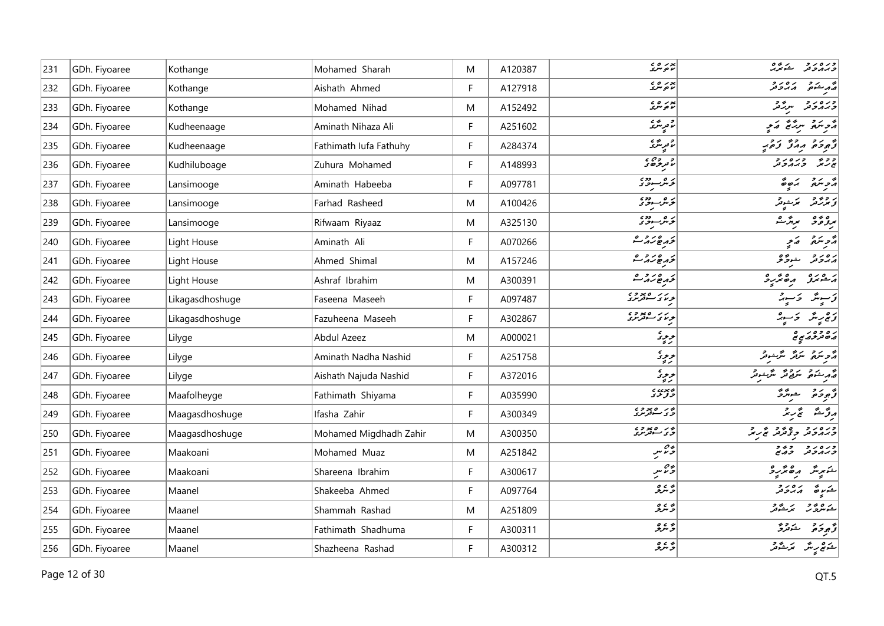| 231 | GDh. Fiyoaree | Kothange        | Mohamed Sharah         | M  | A120387 | برره د<br>ناموسر              | وره رو دره و                                                                                         |
|-----|---------------|-----------------|------------------------|----|---------|-------------------------------|------------------------------------------------------------------------------------------------------|
| 232 | GDh. Fiyoaree | Kothange        | Aishath Ahmed          | F  | A127918 | برر ه ،<br>پیموسر             | أحمد شدة المراد وراد                                                                                 |
| 233 | GDh. Fiyoaree | Kothange        | Mohamed Nihad          | M  | A152492 | پور ه ی                       | ورەر د سرگەر                                                                                         |
| 234 | GDh. Fiyoaree | Kudheenaage     | Aminath Nihaza Ali     | F  | A251602 | ءنبر يتمنحه                   | ومحر يتمتح سرمج وكالمح                                                                               |
| 235 | GDh. Fiyoaree | Kudheenaage     | Fathimath lufa Fathuhy | F  | A284374 | توپەتتى<br>  ئاسپەتتىكە       | ژُودَهُ مِمْرٌ زَهْبِ                                                                                |
| 236 | GDh. Fiyoaree | Kudhiluboage    | Zuhura Mohamed         | F  | A148993 | د وه و<br>  ما تورون د        | ووی وره رو                                                                                           |
| 237 | GDh. Fiyoaree | Lansimooge      | Aminath Habeeba        | F  | A097781 | ئەنگەر دەپ                    | ג'בְ יֹתֹם ג'קוֹם                                                                                    |
| 238 | GDh. Fiyoaree | Lansimooge      | Farhad Rasheed         | M  | A100426 | ئەنگەر يەدى<br>               | ۇ براز كەر بۇرىيەتى                                                                                  |
| 239 | GDh. Fiyoaree | Lansimooge      | Rifwaam Riyaaz         | M  | A325130 | ئۇنگرىسىزى                    | بروتر شه<br>بروءه                                                                                    |
| 240 | GDh. Fiyoaree | Light House     | Aminath Ali            | F  | A070266 | خەرقە ئەرم                    | أرمز<br>ەئەجە                                                                                        |
| 241 | GDh. Fiyoaree | Light House     | Ahmed Shimal           | M  | A157246 | خرم هو تروح                   | رەر د مەم<br>مەرىر سىرگى                                                                             |
| 242 | GDh. Fiyoaree | Light House     | Ashraf Ibrahim         | M  | A300391 | خەرچە ئەرمى                   | ر ه ه بره<br>در شو برو<br>رە ئەربى                                                                   |
| 243 | GDh. Fiyoaree | Likagasdhoshuge | Faseena Maseeh         | F  | A097487 | و د د ره پود د ،              | ۇسىر ئەسىر                                                                                           |
| 244 | GDh. Fiyoaree | Likagasdhoshuge | Fazuheena Maseeh       | F  | A302867 | ر ر صر و د<br>و د کارمرد      | ۇچ <sub>رىپى</sub> ر ئەسپە                                                                           |
| 245 | GDh. Fiyoaree | Lilyge          | Abdul Azeez            | M  | A000021 | موموتى<br>مرىچە               | ره وه رپه ه                                                                                          |
| 246 | GDh. Fiyoaree | Lilyge          | Aminath Nadha Nashid   | F  | A251758 | مومودگا<br>مرگیب              | أأو سَرَةٌ سَرَيْدٌ سَرَشوندٌ                                                                        |
| 247 | GDh. Fiyoaree | Lilyge          | Aishath Najuda Nashid  | F  | A372016 | مومود<br>مرب                  | ر<br>در شومی سرچ تر سرشوتر                                                                           |
| 248 | GDh. Fiyoaree | Maafolheyge     | Fathimath Shiyama      | F  | A035990 | ه بودن تا<br>تر تو لو ی       | وٌ و دَ وَ شَرْدَرَّ                                                                                 |
| 249 | GDh. Fiyoaree | Maagasdhoshuge  | Ifasha Zahir           | F. | A300349 | بر رحس و د د<br>تر که مستولوک | ورژ میش می بر                                                                                        |
| 250 | GDh. Fiyoaree | Maagasdhoshuge  | Mohamed Migdhadh Zahir | M  | A300350 | به رحم به و د<br>و ی سوتوری   | ورەرو دەنگەر ئەر                                                                                     |
| 251 | GDh. Fiyoaree | Maakoani        | Mohamed Muaz           | M  | A251842 | و مړ <sub>سم</sub>            | כנסני כביב<br><i>כג</i> וכני כובי                                                                    |
| 252 | GDh. Fiyoaree | Maakoani        | Shareena Ibrahim       | F  | A300617 | و پەسە<br>ج                   | شوبير رەتمرو                                                                                         |
| 253 | GDh. Fiyoaree | Maanel          | Shakeeba Ahmed         | F. | A097764 | ږ ه و<br>د سربر               | شەرە بەر دەر                                                                                         |
| 254 | GDh. Fiyoaree | Maanel          | Shammah Rashad         | M  | A251809 | پر ہ<br>تر سربڑ               | ے <i>مروڑ کرے و</i>                                                                                  |
| 255 | GDh. Fiyoaree | Maanel          | Fathimath Shadhuma     | F  | A300311 | ږ ه و<br>د سربر               | و محرم من المعامرة المحمدة المحمدة المحمدة المحمدة المحمدة المحمدة المحمدة المحمدة المحمدة المحمدة ا |
| 256 | GDh. Fiyoaree | Maanel          | Shazheena Rashad       | F  | A300312 | پر پر ه<br><del>ر</del> سربر  | شكەھ پەنگە ئە ئەشكەر                                                                                 |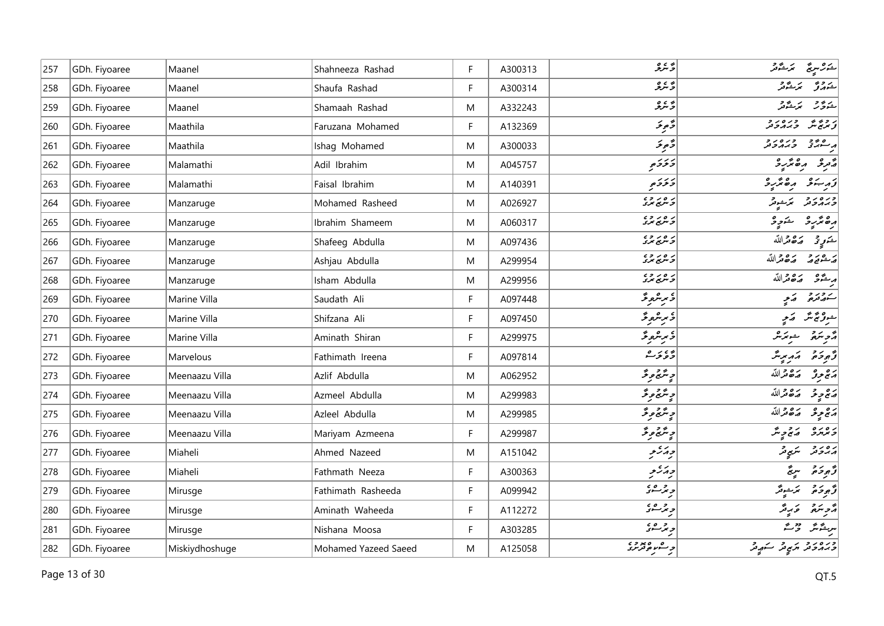| 257 | GDh. Fiyoaree | Maanel         | Shahneeza Rashad     | F           | A300313 | پر پر و<br>تر سر پر                | أخكر سريح الكرستكافر                                                                                                                                                                                                           |
|-----|---------------|----------------|----------------------|-------------|---------|------------------------------------|--------------------------------------------------------------------------------------------------------------------------------------------------------------------------------------------------------------------------------|
| 258 | GDh. Fiyoaree | Maanel         | Shaufa Rashad        | F           | A300314 | یږ ه<br>تر سربو                    | أختمائي المركبة والمحمد                                                                                                                                                                                                        |
| 259 | GDh. Fiyoaree | Maanel         | Shamaah Rashad       | M           | A332243 | پر <sub>ی ہ</sub><br>تر سربڑ       | ر در در در در در در در در در در این در استان در استان در استان در استان در استان در استان در استان در استان دا<br>مسئولات در استان در استان در استان در استان در استان در استان در استان در استان دار در استان در دار داد و در |
| 260 | GDh. Fiyoaree | Maathila       | Faruzana Mohamed     | F           | A132369 | ځېږمخه                             | و رە ر د<br>تر پروتر<br>ۇ برىئە ئىر                                                                                                                                                                                            |
| 261 | GDh. Fiyoaree | Maathila       | Ishag Mohamed        | M           | A300033 | قرموخه                             | و رە ر د<br><i>د بە</i> پەر<br>ەر سەبرىتى                                                                                                                                                                                      |
| 262 | GDh. Fiyoaree | Malamathi      | Adil Ibrahim         | M           | A045757 | وتزوّمو                            | ړ تر د موغه ده                                                                                                                                                                                                                 |
| 263 | GDh. Fiyoaree | Malamathi      | Faisal Ibrahim       | M           | A140391 | وكروم                              | زرېږ رەپرى                                                                                                                                                                                                                     |
| 264 | GDh. Fiyoaree | Manzaruge      | Mohamed Rasheed      | M           | A026927 | ر ۵ ر و ۷<br>تر نتریخ بوری         | ورەرو كەنبەتى                                                                                                                                                                                                                  |
| 265 | GDh. Fiyoaree | Manzaruge      | Ibrahim Shameem      | M           | A060317 | ر ۵ ر د ۷<br>ترس مرد               | رەپرىر شەرد                                                                                                                                                                                                                    |
| 266 | GDh. Fiyoaree | Manzaruge      | Shafeeg Abdulla      | M           | A097436 | ر ۵ ر و ۷<br>تر سرچ مرد            | شورِ حَمَّ صَدَّاللَّهُ                                                                                                                                                                                                        |
| 267 | GDh. Fiyoaree | Manzaruge      | Ashjau Abdulla       | M           | A299954 | ر ۵ پر ۶ پر<br>تر سرچ سری          | مُ شَوَمَ مُ صَحْرَاللّه                                                                                                                                                                                                       |
| 268 | GDh. Fiyoaree | Manzaruge      | Isham Abdulla        | M           | A299956 | ر ۵ ر و ۷<br>تر سرچ مرد            | مشوه مكافرالله                                                                                                                                                                                                                 |
| 269 | GDh. Fiyoaree | Marine Villa   | Saudath Ali          | F           | A097448 | ۇ <sub>مرى</sub> ش <sub>رى</sub> ر | مرور و مرکز                                                                                                                                                                                                                    |
| 270 | GDh. Fiyoaree | Marine Villa   | Shifzana Ali         | $\mathsf F$ | A097450 | ۇبرىئروڭر                          | شوژ تن کرم                                                                                                                                                                                                                     |
| 271 | GDh. Fiyoaree | Marine Villa   | Aminath Shiran       | F           | A299975 | ذً برىثرو دَّ                      |                                                                                                                                                                                                                                |
| 272 | GDh. Fiyoaree | Marvelous      | Fathimath Ireena     | F           | A097814 | ۇ ئەر ھ                            |                                                                                                                                                                                                                                |
| 273 | GDh. Fiyoaree | Meenaazu Villa | Azlif Abdulla        | M           | A062952 | ح پٽر جو گر                        | أمع وو متحقرالله                                                                                                                                                                                                               |
| 274 | GDh. Fiyoaree | Meenaazu Villa | Azmeel Abdulla       | M           | A299983 | حر متَرجٌ عرتَرَ                   | أصفح يحر المكافح وترالله                                                                                                                                                                                                       |
| 275 | GDh. Fiyoaree | Meenaazu Villa | Azleel Abdulla       | M           | A299985 | حر مُتَرجٌ عرفَتَه                 | أتهج وعجه الاتحاقة الله                                                                                                                                                                                                        |
| 276 | GDh. Fiyoaree | Meenaazu Villa | Mariyam Azmeena      | F           | A299987 | حە ئىتى ھەقتە                      |                                                                                                                                                                                                                                |
| 277 | GDh. Fiyoaree | Miaheli        | Ahmed Nazeed         | M           | A151042 | جەڭجە                              | پرور د سرچ تر                                                                                                                                                                                                                  |
| 278 | GDh. Fiyoaree | Miaheli        | Fathmath Neeza       | $\mathsf F$ | A300363 | جەڭرىجە                            | سريح<br>و محمد حرم<br>محمد حرم                                                                                                                                                                                                 |
| 279 | GDh. Fiyoaree | Mirusge        | Fathimath Rasheeda   | $\mathsf F$ | A099942 | د پر هې                            | قُرِّمِوحَةً مَرَسْوِمَّرَ                                                                                                                                                                                                     |
| 280 | GDh. Fiyoaree | Mirusge        | Aminath Waheeda      | F           | A112272 | ج پر صوبچ                          | أأدمره وكباند                                                                                                                                                                                                                  |
| 281 | GDh. Fiyoaree | Mirusge        | Nishana Moosa        | F           | A303285 | ج پر صوي                           | سرينگس وحرك                                                                                                                                                                                                                    |
| 282 | GDh. Fiyoaree | Miskiydhoshuge | Mohamed Yazeed Saeed | M           | A125058 | و مشروع و د و ،<br>مر مشر و فرمزد  | כנסגב ג'ב האביר.<br>בג'הכני ת'קבי האביר.                                                                                                                                                                                       |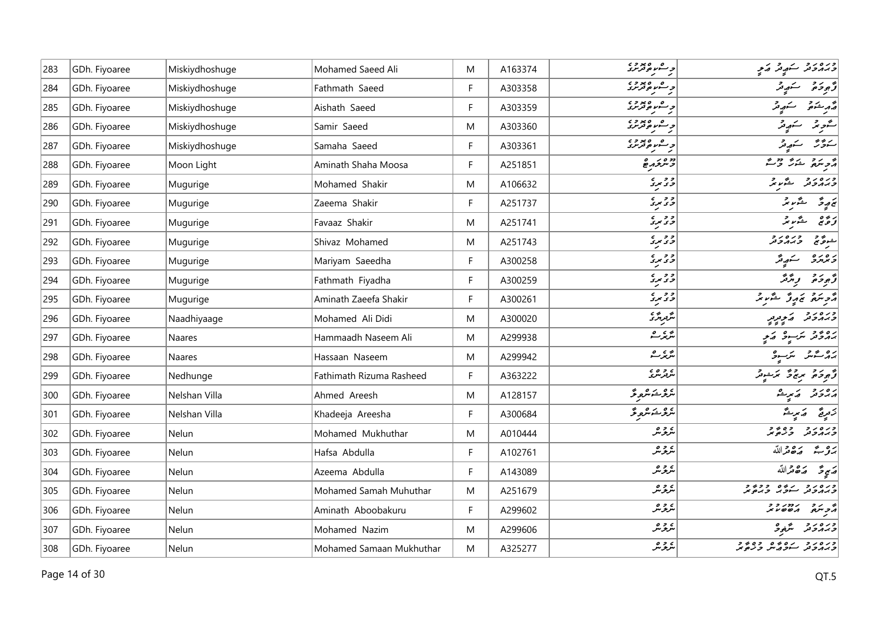| 283 | GDh. Fiyoaree | Miskiydhoshuge | Mohamed Saeed Ali        | M           | A163374 | د صوره ده ده<br>بر سوره تر پرې    | ورەرو سەرە كەنج                            |
|-----|---------------|----------------|--------------------------|-------------|---------|-----------------------------------|--------------------------------------------|
| 284 | GDh. Fiyoaree | Miskiydhoshuge | Fathmath Saeed           | $\mathsf F$ | A303358 | د صوره ده د د ،                   | تزجوخا متماياته                            |
| 285 | GDh. Fiyoaree | Miskiydhoshuge | Aishath Saeed            | F           | A303359 | د صره ورو و د<br>سره مرهو تعریبری | وكرمشكم التسكير                            |
| 286 | GDh. Fiyoaree | Miskiydhoshuge | Samir Saeed              | M           | A303360 | د مه ه پر د ،<br>بر سور تر تر د   | شور شهر                                    |
| 287 | GDh. Fiyoaree | Miskiydhoshuge | Samaha Saeed             | F           | A303361 | د مهم ه پر د ،<br>بر سوم تر پر د  | سەدىر سەمدىر                               |
| 288 | GDh. Fiyoaree | Moon Light     | Aminath Shaha Moosa      | F           | A251851 | ومشرقهم                           | مەمەم ئەرمى ھاك                            |
| 289 | GDh. Fiyoaree | Mugurige       | Mohamed Shakir           | M           | A106632 | و و<br>تر <sub>که مح</sub> رد     | ورەرو شەر                                  |
| 290 | GDh. Fiyoaree | Mugurige       | Zaeema Shakir            | F           | A251737 | و و<br>تر ی مورگی<br>مر           | ىم ئەڭ سەر بىر                             |
| 291 | GDh. Fiyoaree | Mugurige       | Favaaz Shakir            | M           | A251741 | و و<br>حری مور                    | رەە شەرىر                                  |
| 292 | GDh. Fiyoaree | Mugurige       | Shivaz Mohamed           | M           | A251743 | و و<br>تر <sub>ک</sub> مور        | و ر ه ر د<br>تر پر ژ تر<br>  شوحٌ مح       |
| 293 | GDh. Fiyoaree | Mugurige       | Mariyam Saeedha          | F           | A300258 | و و<br>تر <sub>که مح</sub> رد     | د ه د ه کشور محمد تر                       |
| 294 | GDh. Fiyoaree | Mugurige       | Fathmath Fiyadha         | F           | A300259 | و و<br>حری مور                    | وٌوِدَهُ وِرَّدَّ                          |
| 295 | GDh. Fiyoaree | Mugurige       | Aminath Zaeefa Shakir    | F           | A300261 | و و<br>تر <sub>کا مح</sub> رد     | أروسكم لا المحمد والمحمد المحمد            |
| 296 | GDh. Fiyoaree | Naadhiyaage    | Mohamed Ali Didi         | M           | A300020 | مرهبر پر<br>مرکز                  | ورەرو كې دىرىر<br><i>دى</i> رمەدىر كەنزىرى |
| 297 | GDh. Fiyoaree | Naares         | Hammaadh Naseem Ali      | M           | A299938 | متزبر عه                          | بروود لترجو كامي                           |
| 298 | GDh. Fiyoaree | Naares         | Hassaan Naseem           | M           | A299942 | پڑ پر ہ                           |                                            |
| 299 | GDh. Fiyoaree | Nedhunge       | Fathimath Rizuma Rasheed | F           | A363222 | ے و ہ ۽<br>سربرسر                 | توجوخوا المرجوح المرسومر                   |
| 300 | GDh. Fiyoaree | Nelshan Villa  | Ahmed Areesh             | M           | A128157 | ىئ <sub>ە</sub> ئۇيسە ئەھرىگە     | أرور وكالمحمد                              |
| 301 | GDh. Fiyoaree | Nelshan Villa  | Khadeeja Areesha         | F           | A300684 | ، <sub>ۋرىش</sub> ە ئەرگە         | أرتوقح الأموسة                             |
| 302 | GDh. Fiyoaree | Nelun          | Mohamed Mukhuthar        | M           | A010444 | ړ د ه<br>سربر سر                  | ورەر دەپ دە<br>جەمەدىر جەمىر               |
| 303 | GDh. Fiyoaree | Nelun          | Hafsa Abdulla            | $\mathsf F$ | A102761 | برو مر                            | بروج مكافرالله                             |
| 304 | GDh. Fiyoaree | Nelun          | Azeema Abdulla           | F           | A143089 | ړ د ه<br>سربر سر                  | <i>چيوڅ چ</i> ګه قمرالله                   |
| 305 | GDh. Fiyoaree | Nelun          | Mohamed Samah Muhuthar   | M           | A251679 | ړ د ه<br>سربر سر                  | 2010 100 1000<br>2010 300 1000             |
| 306 | GDh. Fiyoaree | Nelun          | Aminath Aboobakuru       | F           | A299602 | ړ د ه<br>سربر سر                  |                                            |
| 307 | GDh. Fiyoaree | Nelun          | Mohamed Nazim            | M           | A299606 | ړ د ه<br>سربر سر                  | ورەرو ئېرە                                 |
| 308 | GDh. Fiyoaree | Nelun          | Mohamed Samaan Mukhuthar | M           | A325277 | ړ د ه<br>سربر سر                  | ورەر دەر رەپە دەپ د<br>جەمەدىر سىۋەش جانبى |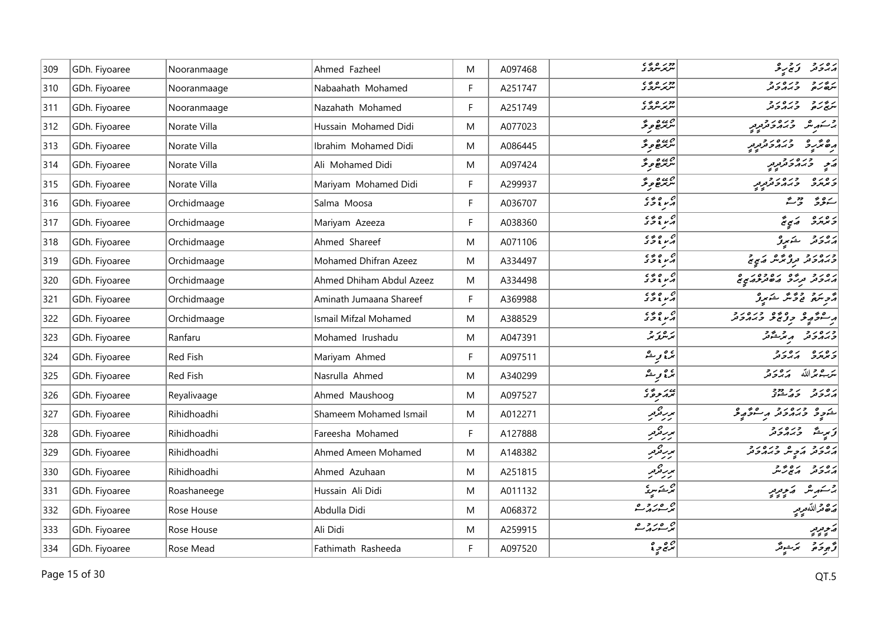| 309 | GDh. Fiyoaree | Nooranmaage     | Ahmed Fazheel            | M  | A097468 | دد بر ۵ پر پر<br>سرپرسرچری | دەرو زېږي                                             |
|-----|---------------|-----------------|--------------------------|----|---------|----------------------------|-------------------------------------------------------|
| 310 | GDh. Fiyoaree | Nooranmaage     | Nabaahath Mohamed        | F. | A251747 | دور ه د ،<br>سرپرسرچ ی     | و ره ر د<br><i>د ب</i> رگرمر<br>سرەر د                |
| 311 | GDh. Fiyoaree | Nooranmaage     | Nazahath Mohamed         | F. | A251749 | دد بر ۵ پر پر<br>سرپرسرچر  | و ره ر و<br><i>و پر</i> و تر<br>ىر پەر ج              |
| 312 | GDh. Fiyoaree | Norate Villa    | Hussain Mohamed Didi     | M  | A077023 | ەيرە ھ <sub>ىرى</sub> مەر  |                                                       |
| 313 | GDh. Fiyoaree | Norate Villa    | Ibrahim Mohamed Didi     | M  | A086445 | ترتزع وقر                  | ره پره دره درور<br>د هنگرد د پروتربر                  |
| 314 | GDh. Fiyoaree | Norate Villa    | Ali Mohamed Didi         | M  | A097424 | ترتزء وقر                  | ر د د د د د و د د د د د د د د                         |
| 315 | GDh. Fiyoaree | Norate Villa    | Mariyam Mohamed Didi     | F  | A299937 | ج پره ه<br>سر پره هو مح    | נפנם כנסנדק<br>במחב במחבתתת                           |
| 316 | GDh. Fiyoaree | Orchidmaage     | Salma Moosa              | F  | A036707 |                            | ديو مشر<br>سەۋىۋ                                      |
| 317 | GDh. Fiyoaree | Orchidmaage     | Mariyam Azeeza           | F. | A038360 |                            | ويوبره<br>رښې پخ                                      |
| 318 | GDh. Fiyoaree | Orchidmaage     | Ahmed Shareef            | M  | A071106 | ەر مەن<br>مەنبە جەنبى      | أرەر دىمبرو                                           |
| 319 | GDh. Fiyoaree | Orchidmaage     | Mohamed Dhifran Azeez    | M  | A334497 |                            | ورەرو پروټر كەي ق                                     |
| 320 | GDh. Fiyoaree | Orchidmaage     | Ahmed Dhiham Abdul Azeez | M  | A334498 | ه موء پر<br>مرد تر         | גם גב תגים גם כפגם<br>הגבת תגים השתיכה <sub>ב</sub> א |
| 321 | GDh. Fiyoaree | Orchidmaage     | Aminath Jumaana Shareef  | F. | A369988 |                            | أأوسم في والأراث والمحمد و                            |
| 322 | GDh. Fiyoaree | Orchidmaage     | Ismail Mifzal Mohamed    | M  | A388529 | ه<br>د سره د د             | بر شو <i>ځې</i> د ورځ د دره د د                       |
| 323 | GDh. Fiyoaree | Ranfaru         | Mohamed Irushadu         | M  | A047391 | ىر ھەر ج                   | ورەرو مەشھىر                                          |
| 324 | GDh. Fiyoaree | <b>Red Fish</b> | Mariyam Ahmed            | F. | A097511 | ره و مشر<br>مرو و مشر      | נסנס נסנד.<br>בינו <i>נב הג</i> בע                    |
| 325 | GDh. Fiyoaree | Red Fish        | Nasrulla Ahmed           | M  | A340299 | <sup>ي و</sup> پوځه        | يترجيحه الله وبروتر                                   |
| 326 | GDh. Fiyoaree | Reyalivaage     | Ahmed Maushoog           | M  | A097527 | <br>  تر تر تر تر د        |                                                       |
| 327 | GDh. Fiyoaree | Rihidhoadhi     | Shameem Mohamed Ismail   | M  | A012271 | برردگرد<br>برروگرد         | خود ورورو رحوړو                                       |
| 328 | GDh. Fiyoaree | Rihidhoadhi     | Fareesha Mohamed         | F  | A127888 | برردگرد<br>برروگرد         | تر پرېشته د د ده د د                                  |
| 329 | GDh. Fiyoaree | Rihidhoadhi     | Ahmed Ameen Mohamed      | M  | A148382 | بربر چر<br>بربر چرب        | גם גב גביל בגם גב<br>גגבת גבית בגגבת                  |
| 330 | GDh. Fiyoaree | Rihidhoadhi     | Ahmed Azuhaan            | M  | A251815 | برردگرمر                   | גפגב גם כבר.<br>הגבע הבלייל                           |
| 331 | GDh. Fiyoaree | Roashaneege     | Hussain Ali Didi         | M  | A011132 | ر<br>ترڪس <sub>ي</sub> ر   | بر کے مرکز کے مرکز کر                                 |
| 332 | GDh. Fiyoaree | Rose House      | Abdulla Didi             | M  | A068372 | ەر مەر جەم<br>مەسىرى مەر   | بَرْھ قَرْاللَّهُ مِرْمِرِ                            |
| 333 | GDh. Fiyoaree | Rose House      | Ali Didi                 | M  | A259915 | ە يەر دەپ                  | ەكەمەتەر<br>ئەنە ئ                                    |
| 334 | GDh. Fiyoaree | Rose Mead       | Fathimath Rasheeda       | F  | A097520 | ەرە ج<br>ئىرىنى جەنج       | و و د د کردونگر                                       |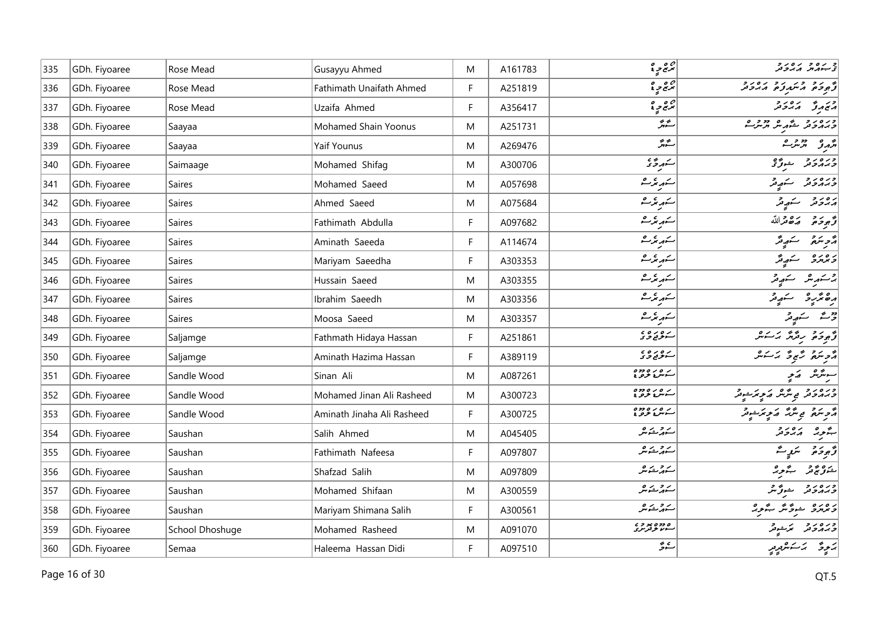| 335 | GDh. Fiyoaree | Rose Mead       | Gusayyu Ahmed              | M  | A161783 | 0 ه.<br>  مربع ح <sub>و</sub> ي | و بره و بره برو<br>تح <b>ب در بر</b> برگرفتر    |
|-----|---------------|-----------------|----------------------------|----|---------|---------------------------------|-------------------------------------------------|
| 336 | GDh. Fiyoaree | Rose Mead       | Fathimath Unaifath Ahmed   | F. | A251819 | ترج ح في                        | وتجودة متمروة مددور                             |
| 337 | GDh. Fiyoaree | Rose Mead       | Uzaifa Ahmed               | F  | A356417 | 0 ه.<br>  مربع ح <sub>و</sub> ي | أربح مرق أمرار والمحمد                          |
| 338 | GDh. Fiyoaree | Saayaa          | Mohamed Shain Yoonus       | M  | A251731 | سەدىر                           | ورەرو شەرەر دورە                                |
| 339 | GDh. Fiyoaree | Saayaa          | <b>Yaif Younus</b>         | M  | A269476 | سەدىر                           | و در در در در در                                |
| 340 | GDh. Fiyoaree | Saimaage        | Mohamed Shifaq             | M  | A300706 | ستهروء                          | ورەرو ئىدۇر.<br><i>جەم</i> ەدىر ئىدۇرى          |
| 341 | GDh. Fiyoaree | <b>Saires</b>   | Mohamed Saeed              | M  | A057698 | سئەرىئەت                        | ورەرو سەرو                                      |
| 342 | GDh. Fiyoaree | <b>Saires</b>   | Ahmed Saeed                | M  | A075684 | سئەرىئەت                        | برەر دېم سكھيىتر                                |
| 343 | GDh. Fiyoaree | <b>Saires</b>   | Fathimath Abdulla          | F  | A097682 | سئەرىئەت                        | ومحدد صدالله                                    |
| 344 | GDh. Fiyoaree | <b>Saires</b>   | Aminath Saeeda             | F  | A114674 | سنهر بڑے                        | ړ ځې سرچ<br>سە پە قە                            |
| 345 | GDh. Fiyoaree | <b>Saires</b>   | Mariyam Saeedha            | F. | A303353 | سئەرىئەت                        | ر ه ر ه<br><del>د</del> بربرگر<br>ستهرقر        |
| 346 | GDh. Fiyoaree | <b>Saires</b>   | Hussain Saeed              | M  | A303355 | سكوبرغرث                        | چرىكى سكەپەتر                                   |
| 347 | GDh. Fiyoaree | <b>Saires</b>   | Ibrahim Saeedh             | M  | A303356 | سىدىرىشە                        | دە ئەرد<br>ستهرتر                               |
| 348 | GDh. Fiyoaree | <b>Saires</b>   | Moosa Saeed                | M  | A303357 | سكوبرغرث                        | دو من مدرد.<br>در سنده من                       |
| 349 | GDh. Fiyoaree | Saljamge        | Fathmath Hidaya Hassan     | F  | A251861 | ر ە ر ە ،<br>سىۋى ۋ د           | وٌوِدَهُ رِقَرَةٌ يَا يَا الله                  |
| 350 | GDh. Fiyoaree | Saljamge        | Aminath Hazima Hassan      | F  | A389119 | ر ۱۵ د ۵ د<br>ستونونو تر د      | مەدىكە ئىب ئەسكىر                               |
| 351 | GDh. Fiyoaree | Sandle Wood     | Sinan Ali                  | M  | A087261 | ر په د وروه<br>سرمندو مرو د     | سيترش كذبر                                      |
| 352 | GDh. Fiyoaree | Sandle Wood     | Mohamed Jinan Ali Rasheed  | M  | A300723 | ر په د وده و                    | ورەرو پەش كەچكەشەتر                             |
| 353 | GDh. Fiyoaree | Sandle Wood     | Aminath Jinaha Ali Rasheed | F  | A300725 | ر ه ر ه دده<br>سه مرو د         | أزويتم وبالله أوير كالموجود                     |
| 354 | GDh. Fiyoaree | Saushan         | Salih Ahmed                | M  | A045405 | سەر ئەيە ئىر                    | بجور ممددتر                                     |
| 355 | GDh. Fiyoaree | Saushan         | Fathimath Nafeesa          | F  | A097807 | سەر ئەيشە ئىر                   | ڙوڌو سَرِ ٿ                                     |
| 356 | GDh. Fiyoaree | Saushan         | Shafzad Salih              | M  | A097809 | سەر ئەيشە ئىر                   | خۇمى بەر                                        |
| 357 | GDh. Fiyoaree | Saushan         | Mohamed Shifaan            | M  | A300559 | سەر ئەيشە ئىر                   | ورەرو جۇنگر                                     |
| 358 | GDh. Fiyoaree | Saushan         | Mariyam Shimana Salih      | F. | A300561 | سەر ئەيشىر                      | دەرە ھەۋىگە جۇر                                 |
| 359 | GDh. Fiyoaree | School Dhoshuge | Mohamed Rasheed            | M  | A091070 | ه دده بر د ،<br>۱۰۰۰ نوترىرى    | - مصر <del>ور م</del> رشونر<br>د <i>بره د</i> ر |
| 360 | GDh. Fiyoaree | Semaa           | Haleema Hassan Didi        | F. | A097510 | ئەچ                             | ر<br>دېږد د کاموړنې                             |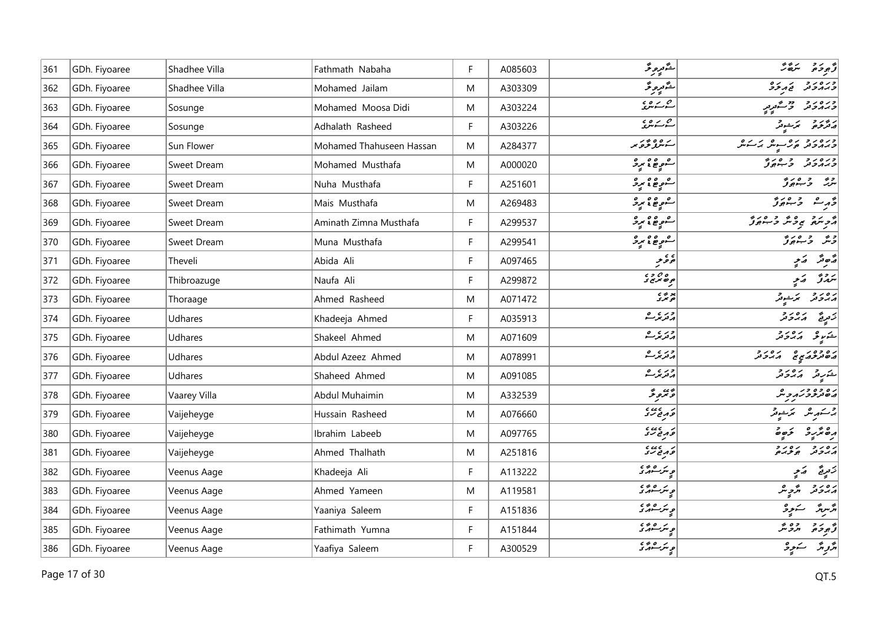| 361 | GDh. Fiyoaree | Shadhee Villa  | Fathmath Nabaha          | F         | A085603 | ىشەرە ئۇ<br>مەسىم                               | توجدة للمقار                                                                                                                           |
|-----|---------------|----------------|--------------------------|-----------|---------|-------------------------------------------------|----------------------------------------------------------------------------------------------------------------------------------------|
| 362 | GDh. Fiyoaree | Shadhee Villa  | Mohamed Jailam           | M         | A303309 | ے ور <sub>وگر</sub>                             | ورەرو يەردۇ                                                                                                                            |
| 363 | GDh. Fiyoaree | Sosunge        | Mohamed Moosa Didi       | M         | A303224 | جەيئە                                           |                                                                                                                                        |
| 364 | GDh. Fiyoaree | Sosunge        | Adhalath Rasheed         | F         | A303226 | <u>شر ئەيرى</u>                                 | ر ور د بر در د کرد .<br>مرکز د بر بر بر بر بر ا                                                                                        |
| 365 | GDh. Fiyoaree | Sun Flower     | Mohamed Thahuseen Hassan | M         | A284377 | ر پە دە بەر<br>سەسرى <sub>ق</sub> ە ئوغۇنىر     | ورەر و رەسپىر برسىر                                                                                                                    |
| 366 | GDh. Fiyoaree | Sweet Dream    | Mohamed Musthafa         | M         | A000020 | <u>شوء ۽</u> مرد                                | وره رو و و ره<br><i>و بر</i> رو د سبونۍ                                                                                                |
| 367 | GDh. Fiyoaree | Sweet Dream    | Nuha Musthafa            | F         | A251601 | <u> م</u> وه و و مرد<br>سوه و مرد               | رو و دره<br>سرگ و جوړونو                                                                                                               |
| 368 | GDh. Fiyoaree | Sweet Dream    | Mais Musthafa            | ${\sf M}$ | A269483 | م و و و و پر د<br>مشروع و مړ                    | وره ومده                                                                                                                               |
| 369 | GDh. Fiyoaree | Sweet Dream    | Aminath Zimna Musthafa   | F         | A299537 | م و و و و پر د<br>مشروع و مړ                    | ړ د سره بالامر د د ورو                                                                                                                 |
| 370 | GDh. Fiyoaree | Sweet Dream    | Muna Musthafa            | F         | A299541 | <u>ش<sub>ور</sub>ه ۽ مرڙ</u>                    | ويتر ومبرو                                                                                                                             |
| 371 | GDh. Fiyoaree | Theveli        | Abida Ali                | F.        | A097465 | هوغرمبر                                         | ړُهنَّر کړم                                                                                                                            |
| 372 | GDh. Fiyoaree | Thibroazuge    | Naufa Ali                | F         | A299872 | $rac{1}{25500}$                                 | أتتمدس أيمنح                                                                                                                           |
| 373 | GDh. Fiyoaree | Thoraage       | Ahmed Rasheed            | M         | A071472 | پر پر پر<br>حو پمر پر                           | رەرد كرشونر                                                                                                                            |
| 374 | GDh. Fiyoaree | Udhares        | Khadeeja Ahmed           | F         | A035913 | د ر ، م<br>مرمر سه                              | كزمريح كمكرومر                                                                                                                         |
| 375 | GDh. Fiyoaree | <b>Udhares</b> | Shakeel Ahmed            | M         | A071609 | ە ئەرىئە ھ                                      | جنړی په ډېر د                                                                                                                          |
| 376 | GDh. Fiyoaree | <b>Udhares</b> | Abdul Azeez Ahmed        | M         | A078991 | د ر بر م<br>مرمر سه                             |                                                                                                                                        |
| 377 | GDh. Fiyoaree | <b>Udhares</b> | Shaheed Ahmed            | M         | A091085 | ەزىر ئە                                         | شەرپىق كەمرىر                                                                                                                          |
| 378 | GDh. Fiyoaree | Vaarey Villa   | Abdul Muhaimin           | M         | A332539 | جۇ ئېچىدىگە                                     | ره وه در<br>د ه ترود ر د د ش                                                                                                           |
| 379 | GDh. Fiyoaree | Vaijeheyge     | Hussain Rasheed          | M         | A076660 | ر<br>تو در ج ر د                                | چرىكىرىش كېرىشوقر                                                                                                                      |
| 380 | GDh. Fiyoaree | Vaijeheyge     | Ibrahim Labeeb           | M         | A097765 | ر<br>  تو در ج ر <sub>ک</sub>                   | ەرھ ئ <sup>ۆ</sup> ر ۋ<br>$\overset{\scriptscriptstyle\mathsf{--}}{\mathsf{--}}\overset{\scriptscriptstyle\mathsf{--}}{\mathsf{--}}\,$ |
| 381 | GDh. Fiyoaree | Vaijeheyge     | Ahmed Thalhath           | M         | A251816 | ر<br>  تو مربع رئ                               | ره رح ده رح<br>مهرونر بونوبرج                                                                                                          |
| 382 | GDh. Fiyoaree | Veenus Aage    | Khadeeja Ali             | F         | A113222 | <sub>حو</sub> مترے پر ج                         | رَسِرِيَّ - رَسِيِّ                                                                                                                    |
| 383 | GDh. Fiyoaree | Veenus Aage    | Ahmed Yameen             | M         | A119581 | <sub>حو</sub> مئرے پر ج                         | ر ه ر د<br>م.رو تر<br>ەگە چە ئىگە                                                                                                      |
| 384 | GDh. Fiyoaree | Veenus Aage    | Yaaniya Saleem           | F         | A151836 | <br> موسر مصری                                  | أثر سرير<br>سەرد                                                                                                                       |
| 385 | GDh. Fiyoaree | Veenus Aage    | Fathimath Yumna          | F.        | A151844 | موسكر مركز و تاريخ<br>  محمد السكر مركز و تاريخ | يرو پڙ<br>و مرد<br>ترجو حرم                                                                                                            |
| 386 | GDh. Fiyoaree | Veenus Aage    | Yaafiya Saleem           | F         | A300529 | <br>  موسكر مركز كاركا                          | أثروثر سكورة                                                                                                                           |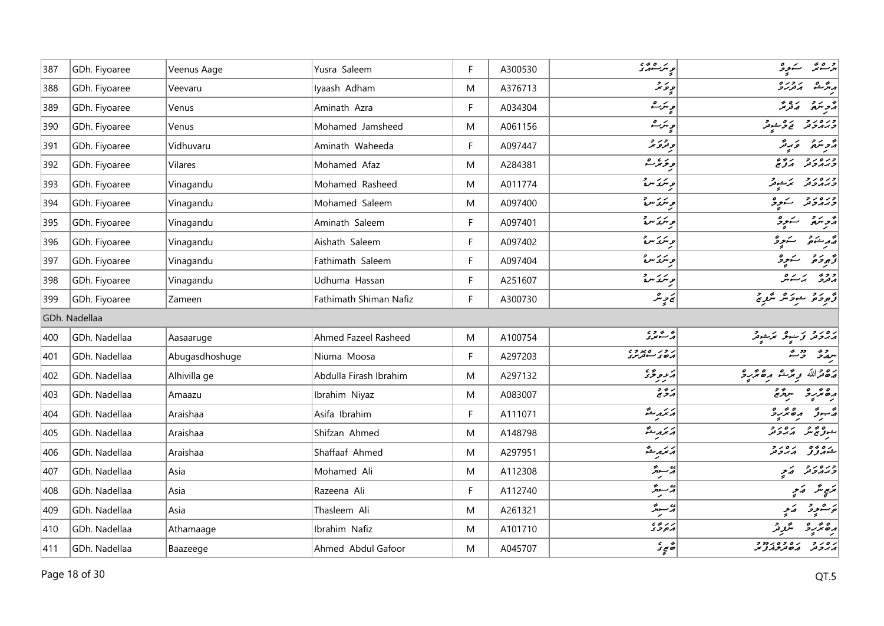| 387 | GDh. Fiyoaree | Veenus Aage    | Yusra Saleem           | F           | A300530 | لمويتز هومي                   | أرمشتم سكود                                            |  |  |
|-----|---------------|----------------|------------------------|-------------|---------|-------------------------------|--------------------------------------------------------|--|--|
| 388 | GDh. Fiyoaree | Veevaru        | Iyaash Adham           | M           | A376713 | حە ئەتمە                      | أروش كروره                                             |  |  |
| 389 | GDh. Fiyoaree | Venus          | Aminath Azra           | F           | A034304 | <sub>حي</sub> سَر ٿ           | أوجا سره والمحمد والمرتكز                              |  |  |
| 390 | GDh. Fiyoaree | Venus          | Mohamed Jamsheed       | M           | A061156 | <sub>حو</sub> يئر ٿ           | ورەرو رەپىدۇ.<br><i>وبەم</i> وتر ق <sub>ە</sub> ۋىشىتر |  |  |
| 391 | GDh. Fiyoaree | Vidhuvaru      | Aminath Waheeda        | $\mathsf F$ | A097447 | اروژوَنْز                     | أزويتكم وكالميقر                                       |  |  |
| 392 | GDh. Fiyoaree | <b>Vilares</b> | Mohamed Afaz           | M           | A284381 | <sub>ح</sub> و تر م           | כנסנכ נבס                                              |  |  |
| 393 | GDh. Fiyoaree | Vinagandu      | Mohamed Rasheed        | M           | A011774 | ە ئىرىم ئىر                   | و ره ر د<br><i>و پر</i> پر تر<br>بحرشوقر               |  |  |
| 394 | GDh. Fiyoaree | Vinagandu      | Mohamed Saleem         | M           | A097400 | ە ئىرىم ئىر                   | ورەرو سەرو                                             |  |  |
| 395 | GDh. Fiyoaree | Vinagandu      | Aminath Saleem         | F           | A097401 | ء مئرئہ میں ج                 | ړې تر په کامو د                                        |  |  |
| 396 | GDh. Fiyoaree | Vinagandu      | Aishath Saleem         | F           | A097402 | ء مئرئہ میں ج                 | وكروشكا والمتحر                                        |  |  |
| 397 | GDh. Fiyoaree | Vinagandu      | Fathimath Saleem       | F           | A097404 | ە ئىرىم ئىر                   | ۇپ <sub>و</sub> دۇ سۇرۇ                                |  |  |
| 398 | GDh. Fiyoaree | Vinagandu      | Udhuma Hassan          | $\mathsf F$ | A251607 | ويئمة مبدقح                   | د دي پر <i>سک</i> ير                                   |  |  |
| 399 | GDh. Fiyoaree | Zameen         | Fathimath Shiman Nafiz | F           | A300730 | ئىچە ئىگە                     | قەم ئەخىرىش ئىرقى                                      |  |  |
|     | GDh. Nadellaa |                |                        |             |         |                               |                                                        |  |  |
| 400 | GDh. Nadellaa | Aasaaruge      | Ahmed Fazeel Rasheed   | M           | A100754 | پر مەرى<br>مەسىمىرى           | ره رو ر ب و بر به د                                    |  |  |
| 401 | GDh. Nadellaa | Abugasdhoshuge | Niuma Moosa            | E           | A297203 | ر و ر ه پو و ،<br>مصی سوتر در | $23 - 32$                                              |  |  |
| 402 | GDh. Nadellaa | Alhivilla ge   | Abdulla Firash Ibrahim | M           | A297132 | <br> ړیره پژی                 | أرەقراللە ويترىشە مەھىمرىيەد                           |  |  |
| 403 | GDh. Nadellaa | Amaazu         | Ibrahim Niyaz          | M           | A083007 | ر د د<br>د د ج                | وەترىر سرزى                                            |  |  |
| 404 | GDh. Nadellaa | Araishaa       | Asifa Ibrahim          | $\mathsf F$ | A111071 | وَ بَرَمَرِ مَنَّهُ           |                                                        |  |  |
| 405 | GDh. Nadellaa | Araishaa       | Shifzan Ahmed          | M           | A148798 | أرئبه برشة                    | ە ئەرەر بەرەر<br>سوق ئەس كەبەر قىر                     |  |  |
| 406 | GDh. Nadellaa | Araishaa       | Shaffaaf Ahmed         | M           | A297951 | وَ بَرَوِيةً                  | ره ده ده دورو<br>شوروز در در                           |  |  |
| 407 | GDh. Nadellaa | Asia           | Mohamed Ali            | M           | A112308 | ي<br>مر سودگر                 | ورەر دىر                                               |  |  |
| 408 | GDh. Nadellaa | Asia           | Razeena Ali            | $\mathsf F$ | A112740 | ەئە سەدىگە<br>س               | برېم پر مړي                                            |  |  |
| 409 | GDh. Nadellaa | Asia           | Thasleem Ali           | M           | A261321 | ار<br>استراتشر                | ىر شوچ <sup>ە</sup><br>م<br>$\frac{1}{2}$              |  |  |
| 410 | GDh. Nadellaa | Athamaage      | Ibrahim Nafiz          | M           | A101710 | ر ر » ><br>پره د د            | ەھترىر ئىرۇ                                            |  |  |
| 411 | GDh. Nadellaa | Baazeege       | Ahmed Abdul Gafoor     | M           | A045707 | په مخ د                       | , סגב גם כסגמב<br>ג.ג.כ. ב. סיניבו. צ. א               |  |  |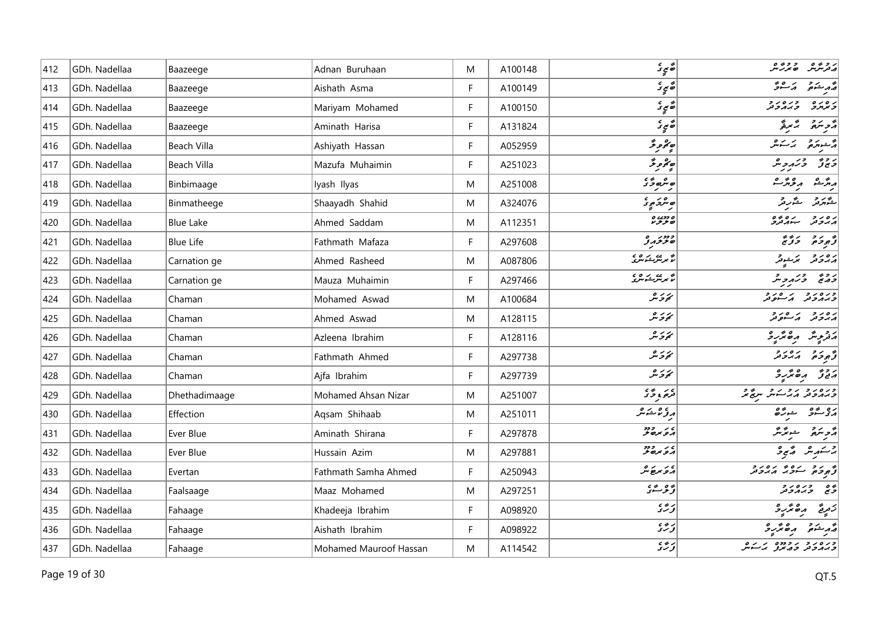| 412 | GDh. Nadellaa | Baazeege           | Adnan Buruhaan         | M           | A100148 | پر م<br>حصي تر                       | روم وومو                                               |
|-----|---------------|--------------------|------------------------|-------------|---------|--------------------------------------|--------------------------------------------------------|
| 413 | GDh. Nadellaa | Baazeege           | Aishath Asma           | F           | A100149 | ر<br>مهم پر                          | أقدم شئوهي أتراشق                                      |
| 414 | GDh. Nadellaa | Baazeege           | Mariyam Mohamed        | F           | A100150 | پر م<br>حصي تر                       | ر ه ر ه<br><del>ر</del> بربرگ<br>و ره ر و<br>تر پر ژنر |
| 415 | GDh. Nadellaa | Baazeege           | Aminath Harisa         | F           | A131824 | پچ <sub>م</sub> چ<br>م               | مُرْجِعَةٍ مُسْتَمِيَّةٌ                               |
| 416 | GDh. Nadellaa | Beach Villa        | Ashiyath Hassan        | F.          | A052959 | <br> حوګومو محر                      | ۇھومۇم كەسكە                                           |
| 417 | GDh. Nadellaa | <b>Beach Villa</b> | Mazufa Muhaimin        | F           | A251023 | په نؤ <sub>و قر</sub>                | دوو وتهروند                                            |
| 418 | GDh. Nadellaa | Binbimaage         | lyash Ilyas            | M           | A251008 | ه شهر د ،<br>د شهر د                 | أروش وعرفت                                             |
| 419 | GDh. Nadellaa | Binmatheege        | Shaayadh Shahid        | M           | A324076 | ه مر <sub>کز مو</sub> ر              | شەرىر سەرىر                                            |
| 420 | GDh. Nadellaa | <b>Blue Lake</b>   | Ahmed Saddam           | M           | A112351 | ہ دوری ہ<br>ت <i>ھ م</i> حرم         | پر و پر و<br>سە ئەرەر ئەرە                             |
| 421 | GDh. Nadellaa | <b>Blue Life</b>   | Fathmath Mafaza        | F           | A297608 | و دوبر و<br><i>مو</i> خ مرتز         | أزّودَه دَرْءَ                                         |
| 422 | GDh. Nadellaa | Carnation ge       | Ahmed Rasheed          | M           | A087806 | ر<br>ما برنتوشه مرو <sup>ج</sup>     | رەرە بەيدۇ.                                            |
| 423 | GDh. Nadellaa | Carnation ge       | Mauza Muhaimin         | F           | A297466 | ر<br>ما برنتوشه مرو <sup>ج</sup>     | ووج وتهروند                                            |
| 424 | GDh. Nadellaa | Chaman             | Mohamed Aswad          | M           | A100684 | ىئەر ھ                               | ورەرو رەرو<br><i>دىد</i> ەردى <sub>ر م</sub> ەسوىر     |
| 425 | GDh. Nadellaa | Chaman             | Ahmed Aswad            | M           | A128115 | ىر ئەر                               | رەرد رەرد                                              |
| 426 | GDh. Nadellaa | Chaman             | Azleena Ibrahim        | F           | A128116 | ىئە ئەشر                             | ى ئېرىپ مەھمىر ئ                                       |
| 427 | GDh. Nadellaa | Chaman             | Fathmath Ahmed         | F.          | A297738 | ىمەر ھ                               | و محمد مدم در د                                        |
| 428 | GDh. Nadellaa | Chaman             | Ajfa Ibrahim           | F.          | A297739 | ىئەر ھ                               | $5 - 50 - 52 - 7$                                      |
| 429 | GDh. Nadellaa | Dhethadimaage      | Mohamed Ahsan Nizar    | M           | A251007 | ع پر ويځ ته <sup>ج</sup>             | ورەرو روسە ئەس سرچ                                     |
| 430 | GDh. Nadellaa | Effection          | Aqsam Shihaab          | M           | A251011 | ە ئە 2 شەكىر                         | ره وه شرگره                                            |
| 431 | GDh. Nadellaa | Ever Blue          | Aminath Shirana        | F           | A297878 | ے رکھے تو دو<br>مرک <i>و تیرہ</i> مو | ۇ ئەسكە ئىستىر                                         |
| 432 | GDh. Nadellaa | Ever Blue          | Hussain Azim           | M           | A297881 | ג גם בדב<br>גם יגוס צ                | جاسكور محمح ومحمح                                      |
| 433 | GDh. Nadellaa | Evertan            | Fathmath Samha Ahmed   | F           | A250943 | ى ئەسىنى شە                          | و د د ده و ده د د                                      |
| 434 | GDh. Nadellaa | Faalsaage          | Maaz Mohamed           | M           | A297251 | ۇ ۋرىپى                              | وه وره رو<br>دی <i>د</i> به دنر                        |
| 435 | GDh. Nadellaa | Fahaage            | Khadeeja Ibrahim       | $\mathsf F$ | A098920 | ۇرمى                                 | ەر ھەترىر 3<br>ر<br>ئرَىرِيٍّ<br>ئ                     |
| 436 | GDh. Nadellaa | Fahaage            | Aishath Ibrahim        | F           | A098922 | ر بر د<br>تر گ                       | 5,50,<br>ر<br>د گرم شومی                               |
| 437 | GDh. Nadellaa | Fahaage            | Mohamed Mauroof Hassan | M           | A114542 | ترجيح                                | وره رو د دوده در کرد.<br>د بربروتر و پرتو ایر کرد      |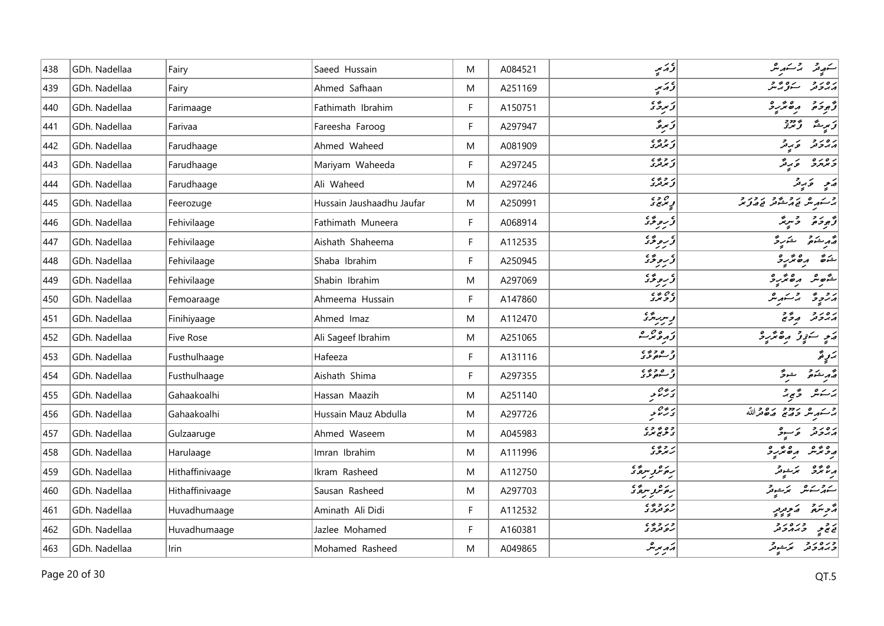| 438 | GDh. Nadellaa | Fairy            | Saeed Hussain             | M           | A084521 | ۇ ئەسپە                            | سىھەقىر برقسىتىر                                     |
|-----|---------------|------------------|---------------------------|-------------|---------|------------------------------------|------------------------------------------------------|
| 439 | GDh. Nadellaa | Fairy            | Ahmed Safhaan             | M           | A251169 | ې پر <sub>سپ</sub>                 | رەرد رەپرى<br>مەدىر سۆرىمىر                          |
| 440 | GDh. Nadellaa | Farimaage        | Fathimath Ibrahim         | F           | A150751 | وَبردًى                            |                                                      |
| 441 | GDh. Nadellaa | Farivaa          | Fareesha Faroog           | F           | A297947 | توسورةً                            | پر دو د<br>تو تنریخ<br> وَ مَرِيشٌ                   |
| 442 | GDh. Nadellaa | Farudhaage       | Ahmed Waheed              | M           | A081909 | ر و پر د<br>تو مرتور               | دەر د ئەر                                            |
| 443 | GDh. Nadellaa | Farudhaage       | Mariyam Waheeda           | F           | A297245 | ر و ر د<br>و برترد                 | د ۱۵ د به تر                                         |
| 444 | GDh. Nadellaa | Farudhaage       | Ali Waheed                | ${\sf M}$   | A297246 | ر و پر ،<br>تو برترد               | أة مح تم تحديثر                                      |
| 445 | GDh. Nadellaa | Feerozuge        | Hussain Jaushaadhu Jaufar | ${\sf M}$   | A250991 | د ۶ و ۽<br>پيمبر                   | و کے مربع اور اس کا دور و۔<br>ایر کے مرکز کے مرکز مر |
| 446 | GDh. Nadellaa | Fehivilaage      | Fathimath Muneera         | $\mathsf F$ | A068914 | ې روڅۍ<br>د روڅ                    | ۇيودۇ دېپىر                                          |
| 447 | GDh. Nadellaa | Fehivilaage      | Aishath Shaheema          | F           | A112535 | ې ر <sub>ی</sub> ونځۍ              | و مشكر مشركة<br>مراجعة مشركة                         |
| 448 | GDh. Nadellaa | Fehivilaage      | Shaba Ibrahim             | F           | A250945 | ۇروڭۇ                              | $rac{1}{2}$                                          |
| 449 | GDh. Nadellaa | Fehivilaage      | Shabin Ibrahim            | ${\sf M}$   | A297069 | ۇروڭۇ                              | شوه رەترى                                            |
| 450 | GDh. Nadellaa | Femoaraage       | Ahmeema Hussain           | $\mathsf F$ | A147860 | ه ۶ بره و<br>تو <del>و</del> بو د  | أروح بالمناسبة                                       |
| 451 | GDh. Nadellaa | Finihiyaage      | Ahmed Imaz                | ${\sf M}$   | A112470 | و سربر پر <sup>ی</sup><br>بر بر بر | أرور وتحمي                                           |
| 452 | GDh. Nadellaa | <b>Five Rose</b> | Ali Sageef Ibrahim        | M           | A251065 | تەرەبىر                            | أوسم سور وه وره و                                    |
| 453 | GDh. Nadellaa | Fusthulhaage     | Hafeeza                   | F           | A131116 | د د ه د د ،<br>توسیونوی            | أبرتوة                                               |
| 454 | GDh. Nadellaa | Fusthulhaage     | Aishath Shima             | F           | A297355 | د ۱۵ د د د<br>تو سومونو د          | وگهرڪو ڪوڱر<br>م                                     |
| 455 | GDh. Nadellaa | Gahaakoalhi      | Hassan Maazih             | M           | A251140 | ئەرمىمىسى                          | يَاسَدُ دَّمِيدُ                                     |
| 456 | GDh. Nadellaa | Gahaakoalhi      | Hussain Mauz Abdulla      | M           | A297726 | بروجور                             | أحر محمد مع الله الله الله                           |
| 457 | GDh. Nadellaa | Gulzaaruge       | Ahmed Waseem              | M           | A045983 | و ه پر و ،<br>د نومځ مود           | دەرو كەسوۋ                                           |
| 458 | GDh. Nadellaa | Harulaage        | Imran Ibrahim             | ${\sf M}$   | A111996 | ر و د ،<br>ربوتوی                  |                                                      |
| 459 | GDh. Nadellaa | Hithaffinivaage  | Ikram Rasheed             | ${\sf M}$   | A112750 | ىرە ئىروپىر <i>ۇ</i> ئ             | أراء يوه متحر يتوفر                                  |
| 460 | GDh. Nadellaa | Hithaffinivaage  | Sausan Rasheed            | ${\sf M}$   | A297703 | ىرە ئىروپىرى<br>ب                  | استهر ستكس الترسفية فلر                              |
| 461 | GDh. Nadellaa | Huvadhumaage     | Aminath Ali Didi          | $\mathsf F$ | A112532 | و ر و » ،<br>ره ترو د              | أأروبتهم الأوفرقر                                    |
| 462 | GDh. Nadellaa | Huvadhumaage     | Jazlee Mohamed            | F           | A160381 | و ر و د »<br>ر ه مرو د             | ر و دره دره<br>  د در در در                          |
| 463 | GDh. Nadellaa | Irin             | Mohamed Rasheed           | ${\sf M}$   | A049865 | لەم بىرىگە                         | ورەرو كەنبەتى                                        |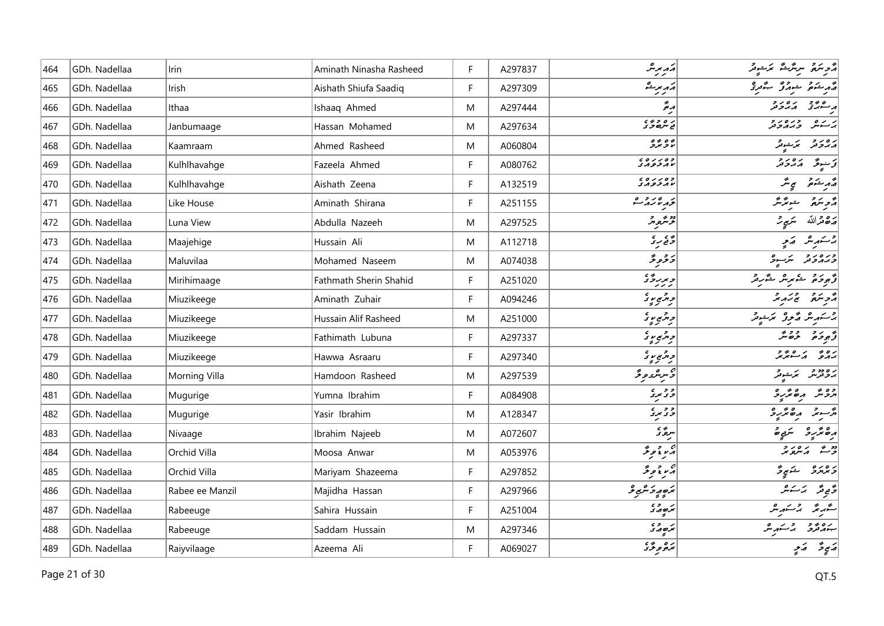| 464 | GDh. Nadellaa | Irin            | Aminath Ninasha Rasheed | F. | A297837 | أرمر برير                         | <i>ڋڋۺۿ</i> ٙ؊ۺڗۿڎٞ؊ۣڂۄڎ                                                     |
|-----|---------------|-----------------|-------------------------|----|---------|-----------------------------------|------------------------------------------------------------------------------|
| 465 | GDh. Nadellaa | Irish           | Aishath Shiufa Saadiq   | F  | A297309 | <br> مەمرىشە                      | و<br>درخوم خودگر جوري                                                        |
| 466 | GDh. Nadellaa | Ithaa           | Ishaaq Ahmed            | M  | A297444 | ارځ                               | ما عربيج مدروس                                                               |
| 467 | GDh. Nadellaa | Janbumaage      | Hassan Mohamed          | M  | A297634 | ر ه و و »<br>مح سرحه و د          | يركبش وره رو                                                                 |
| 468 | GDh. Nadellaa | Kaamraam        | Ahmed Rasheed           | M  | A060804 | ء ہ ء و<br>تڏ <del>ت</del> ر      | أبره رو برشوش                                                                |
| 469 | GDh. Nadellaa | Kulhlhavahge    | Fazeela Ahmed           | F  | A080762 | وه ر ر ه ،<br>ماړ نوار د          | أقاسوق أمارون                                                                |
| 470 | GDh. Nadellaa | Kulhlhavahge    | Aishath Zeena           | F  | A132519 | د ه د ر ه ،<br>ماړ نوار د         | ۇرمىنى ئېر                                                                   |
| 471 | GDh. Nadellaa | Like House      | Aminath Shirana         | F  | A251155 | الخدع ترقيقه                      | ە ئەر ئىش ئىستىلىشى<br>مەسىر                                                 |
| 472 | GDh. Nadellaa | Luna View       | Abdulla Nazeeh          | M  | A297525 | وحشره                             | سَرِيٍّ<br><mark>بر25</mark> الله                                            |
| 473 | GDh. Nadellaa | Maajehige       | Hussain Ali             | M  | A112718 | ی ء<br>5 فع سر د                  | بر سکه شهر اندانی                                                            |
| 474 | GDh. Nadellaa | Maluvilaa       | Mohamed Naseem          | M  | A074038 | د نوروٌ                           | כנסגב ת-פ                                                                    |
| 475 | GDh. Nadellaa | Mirihimaage     | Fathmath Sherin Shahid  | F  | A251020 | $\frac{1}{55}$                    | وتجودة كالمرشر كالرقر                                                        |
| 476 | GDh. Nadellaa | Miuzikeege      | Aminath Zuhair          | F  | A094246 | لىر قرىم بو ئى<br>  تر قرىم بو ئى | أوسكو وزرقه                                                                  |
| 477 | GDh. Nadellaa | Miuzikeege      | Hussain Alif Rasheed    | M  | A251000 | حەدثىي بىرى<br>س                  | برستهرش كمروفي المرجوش                                                       |
| 478 | GDh. Nadellaa | Miuzikeege      | Fathimath Lubuna        | F  | A297337 | حەدثى بىرى<br>بىر                 | أوجده وديد                                                                   |
| 479 | GDh. Nadellaa | Miuzikeege      | Hawwa Asraaru           | F  | A297340 | حەدثىم بوڭ<br>س                   | رە ئەرەپر                                                                    |
| 480 | GDh. Nadellaa | Morning Villa   | Hamdoon Rasheed         | M  | A297539 | وسرىثىدە قر                       | پر وجو حر سر سر مرکز<br>  پر <del>ج</del> ر تر مرکز مرکز مرکز مرکز مرکز مرکز |
| 481 | GDh. Nadellaa | Mugurige        | Yumna Ibrahim           | F. | A084908 | و و<br>تر <sub>کم</sub> موری      | תכית תסתיק                                                                   |
| 482 | GDh. Nadellaa | Mugurige        | Yasir Ibrahim           | M  | A128347 | و و<br>تر ی مورگ                  | دە ئەرچ<br>ېژىسى <i>رى</i> ر                                                 |
| 483 | GDh. Nadellaa | Nivaage         | Ibrahim Najeeb          | M  | A072607 | سرچری                             | رە ئرىر ئىستىم ئى                                                            |
| 484 | GDh. Nadellaa | Orchid Villa    | Moosa Anwar             | M  | A053976 | ەر بەر ئەرگە<br>مەسىم ئەرگە       | ارح مدرور                                                                    |
| 485 | GDh. Nadellaa | Orchid Villa    | Mariyam Shazeema        | F  | A297852 | ەر بەر قىرىگە<br>مەسىم قىرىگە     | د ۱۳ د ۲۰۰۰ متموی د                                                          |
| 486 | GDh. Nadellaa | Rabee ee Manzil | Majidha Hassan          | F  | A297966 | ى<br>مەمۇر كەنبى                  | لتحصي تركت مركبه                                                             |
| 487 | GDh. Nadellaa | Rabeeuge        | Sahira Hussain          | F  | A251004 | برەم                              | ستهایم الاستهایش                                                             |
| 488 | GDh. Nadellaa | Rabeeuge        | Saddam Hussain          | M  | A297346 | پر چه د د                         | بدە دور برگتمبر ش                                                            |
| 489 | GDh. Nadellaa | Raiyvilaage     | Azeema Ali              | F. | A069027 | ره په په<br>مر <sub>گ</sub> ورگری | ړې ځه کړې                                                                    |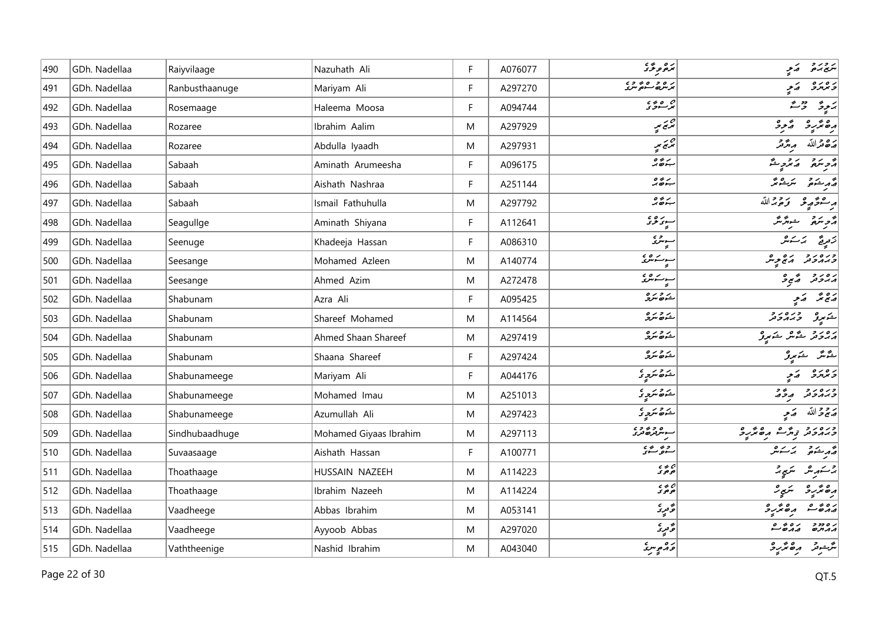| 490 | GDh. Nadellaa | Raiyvilaage    | Nazuhath Ali           | F. | A076077 | ر ه<br>برگوموڅر                 | ىر 3 بر 3<br>سرچ بر م<br>ەتىر                          |
|-----|---------------|----------------|------------------------|----|---------|---------------------------------|--------------------------------------------------------|
| 491 | GDh. Nadellaa | Ranbusthaanuge | Mariyam Ali            | F  | A297270 | ر و و و ه و و ،<br>برمره سوه مر | ر ه ر ه<br>د بربرو                                     |
| 492 | GDh. Nadellaa | Rosemaage      | Haleema Moosa          | F. | A094744 | ە رەپە ،<br>ئىرىسىۋې            | پر پورتخ<br> <br>ديو مشر                               |
| 493 | GDh. Nadellaa | Rozaree        | Ibrahim Aalim          | M  | A297929 | ص<br>تنزیح سپه                  | دەندىر<br>رٌورٌ                                        |
| 494 | GDh. Nadellaa | Rozaree        | Abdulla Iyaadh         | Μ  | A297931 | ص پر<br>مربح میں                | مَصْعَراللَّه<br>پر بر د<br>مرکز                       |
| 495 | GDh. Nadellaa | Sabaah         | Aminath Arumeesha      | F  | A096175 | بەھ                             | و المعرفي المسترد المحمد المحمد المستر                 |
| 496 | GDh. Nadellaa | Sabaah         | Aishath Nashraa        | F  | A251144 | بەھ                             | ۇرمىشى سىشىر                                           |
| 497 | GDh. Nadellaa | Sabaah         | Ismail Fathuhulla      | M  | A297792 | بە ئەھ                          | و حوَّوع و وَوَيْراللَّهُ<br>وَسَوَّوعُ وَوَيْراللَّهُ |
| 498 | GDh. Nadellaa | Seagullge      | Aminath Shiyana        | F. | A112641 | ر ده ه<br>په ترو                |                                                        |
| 499 | GDh. Nadellaa | Seenuge        | Khadeeja Hassan        | F  | A086310 | سويىي                           | تزمريح الكاشر                                          |
| 500 | GDh. Nadellaa | Seesange       | Mohamed Azleen         | M  | A140774 | اسەسىۋە                         | ورەرو رەپ                                              |
| 501 | GDh. Nadellaa | Seesange       | Ahmed Azim             | M  | A272478 | اب مەنىۋى<br>پە                 | دەر د گەنج ۋ                                           |
| 502 | GDh. Nadellaa | Shabunam       | Azra Ali               | F  | A095425 | شەھ ئىرو                        | ړه پژ پرې                                              |
| 503 | GDh. Nadellaa | Shabunam       | Shareef Mohamed        | Μ  | A114564 | شەھ سرو                         | شمېرو د دره د د                                        |
| 504 | GDh. Nadellaa | Shabunam       | Ahmed Shaan Shareef    | M  | A297419 | شەھ ئىرو                        | أرور و الشره المستمرو                                  |
| 505 | GDh. Nadellaa | Shabunam       | Shaana Shareef         | F  | A297424 | شەھ ئىرو                        | شَدَّسَ شَهْرِتْر                                      |
| 506 | GDh. Nadellaa | Shabunameege   | Mariyam Ali            | F  | A044176 | ے ک <i>ے سرح کی</i>             | د ۱۶ د کام په                                          |
| 507 | GDh. Nadellaa | Shabunameege   | Mohamed Imau           | M  | A251013 | ے ک <i>ے سرح کی</i>             | כנסני בי                                               |
| 508 | GDh. Nadellaa | Shabunameege   | Azumullah Ali          | M  | A297423 | شەھ ئىزىر ئ                     | بروح الله كدمي                                         |
| 509 | GDh. Nadellaa | Sindhubaadhuge | Mohamed Giyaas Ibrahim | Μ  | A297113 | ه ۶۶۶ و د<br>سومبرالرحافزی      |                                                        |
| 510 | GDh. Nadellaa | Suvaasaage     | Aishath Hassan         | F  | A100771 | <u>حرچ شوي</u>                  | مەر شىم ئەسكىس                                         |
| 511 | GDh. Nadellaa | Thoathaage     | HUSSAIN NAZEEH         | M  | A114223 | ج ءِ ج<br>حوص ت                 | 2 سەر شىر سىر كىيە                                     |
| 512 | GDh. Nadellaa | Thoathaage     | Ibrahim Nazeeh         | Μ  | A114224 | ج ءِ ج<br>حوصي                  | رەئزىر ئىي                                             |
| 513 | GDh. Nadellaa | Vaadheege      | Abbas Ibrahim          | M  | A053141 | ءِ مريح<br> حوسي ت              | 25.20<br>5,50,                                         |
| 514 | GDh. Nadellaa | Vaadheege      | Ayyoob Abbas           | Μ  | A297020 | ۇ<br>ق <sub>ى</sub> مېرى        | 250/2<br>ر ه دو و<br>مرمره                             |
| 515 | GDh. Nadellaa | Vaththeenige   | Nashid Ibrahim         | Μ  | A043040 | ۇرموسرچ                         | ترشونر برەترىرد                                        |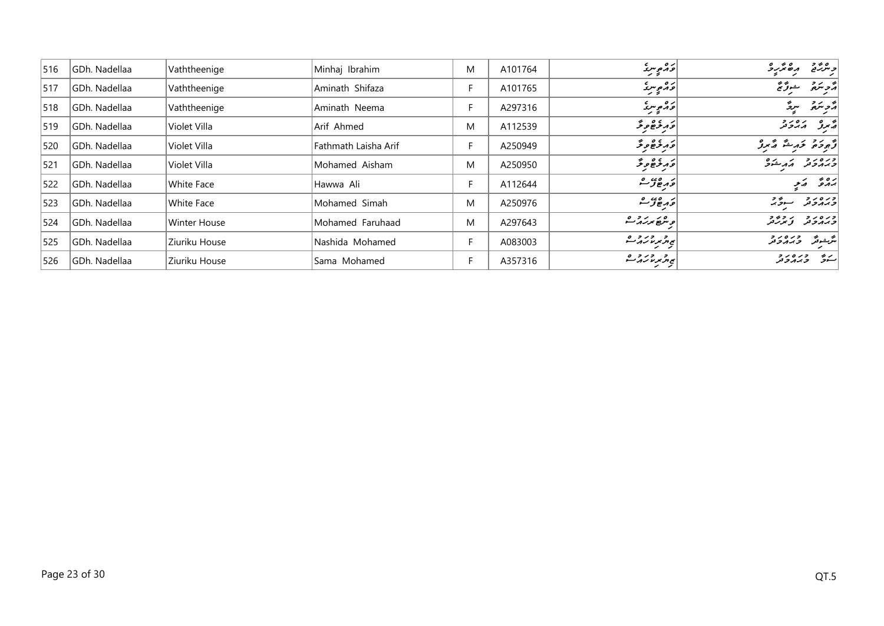| 516 | GDh. Nadellaa | Vaththeenige        | Minhaj Ibrahim       | M | A101764 | ءَ ۾ هو سرءُ                    | د مگرگرفتخ<br>フンメめハ                               |
|-----|---------------|---------------------|----------------------|---|---------|---------------------------------|---------------------------------------------------|
| 517 | GDh. Nadellaa | Vaththeenige        | Aminath Shifaza      |   | A101765 | عَهْرُهِ سِرْءٌ                 | شەۋگى<br>ړٌ د سَرچ                                |
| 518 | GDh. Nadellaa | Vaththeenige        | Aminath Neema        |   | A297316 | ئۇرگە يەسىد                     | پر د سرچ<br>سرچ                                   |
| 519 | GDh. Nadellaa | Violet Villa        | Arif Ahmed           | M | A112539 | وَمركزهورتَر                    | په یو په کرد و                                    |
| 520 | GDh. Nadellaa | Violet Villa        | Fathmath Laisha Arif |   | A250949 | ءَ ہر ځه عو ځه                  | أزّوده دَرِثٌ مُبرِرْ                             |
| 521 | GDh. Nadellaa | Violet Villa        | Mohamed Aisham       | M | A250950 | ئەمرىقى بەگە                    | $S_{\mu\nu}$ $\sim$                               |
| 522 | GDh. Nadellaa | <b>White Face</b>   | Hawwa Ali            |   | A112644 | ئەرەۋىشە                        | برە ئەپ                                           |
| 523 | GDh. Nadellaa | White Face          | Mohamed Simah        | M | A250976 | ئەرەپى م                        | و ره ر و<br>د <i>ر د</i> د ر<br>سەۋر              |
| 524 | GDh. Nadellaa | <b>Winter House</b> | Mohamed Faruhaad     | M | A297643 | <sub>ع</sub> ريخ <i>برنيد ش</i> | و ره ر د<br>د بر رو تر<br>ى ئەرەپ<br>قى ئىرىر قىر |
| 525 | GDh. Nadellaa | Ziuriku House       | Nashida Mohamed      |   | A083003 | پر <i>مرکز مرکز گ</i>           | سُرُشہورَ<br>و رە ر د<br><i>د ب</i> رگرىز         |
| 526 | GDh. Nadellaa | Ziuriku House       | Sama Mohamed         |   | A357316 | ہے ہر حرم سر پر شہ              | سەۋ<br>ورەر د<br><i>دى</i> رمەتر                  |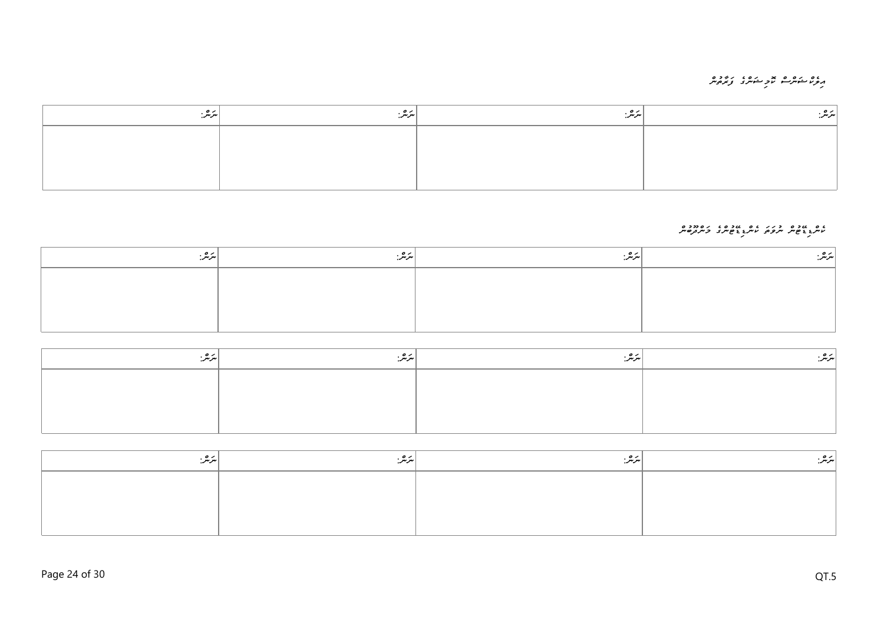## *w7qAn8m? sCw7mRo>u; wEw7mRw;sBo<*

| ' مرمر | 'يئرىثر: |
|--------|----------|
|        |          |
|        |          |
|        |          |

## *w7q9r@w7m> sCw7qHtFoFw7s; mAm=q7 w7qHtFoFw7s;*

| ىر تە | $\mathcal{O} \times$<br>$\sim$ | $\sim$<br>. . | لترنثر |
|-------|--------------------------------|---------------|--------|
|       |                                |               |        |
|       |                                |               |        |
|       |                                |               |        |

| انترنثر: | $^{\circ}$ | يبرهر | $^{\circ}$<br>سرسر |
|----------|------------|-------|--------------------|
|          |            |       |                    |
|          |            |       |                    |
|          |            |       |                    |

| ىرتىر: | 。<br>سر سر | .,<br>مرسر |
|--------|------------|------------|
|        |            |            |
|        |            |            |
|        |            |            |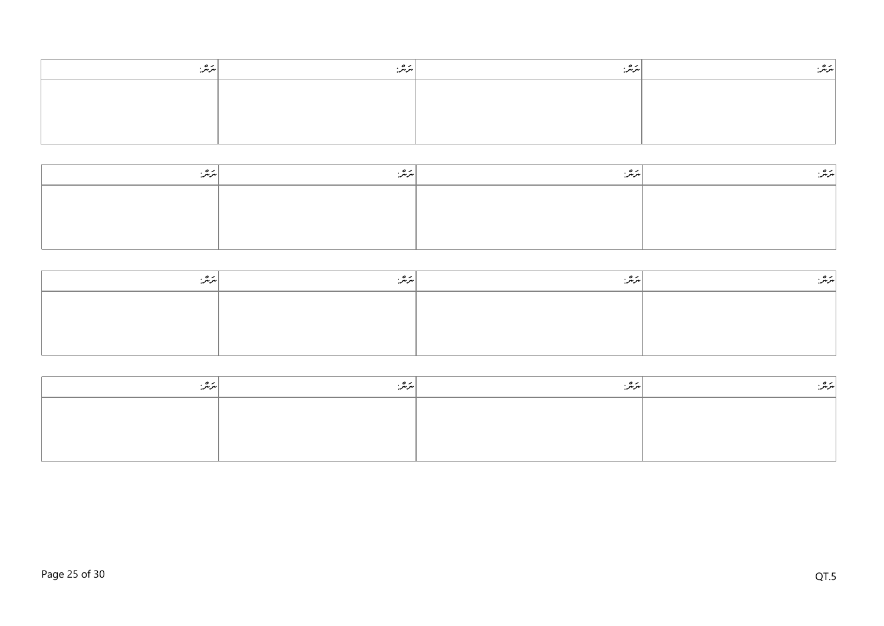| يره. | ο. | ا ير ه |  |
|------|----|--------|--|
|      |    |        |  |
|      |    |        |  |
|      |    |        |  |

| <sup>.</sup> سرسر. |  |
|--------------------|--|
|                    |  |
|                    |  |
|                    |  |

| ىئرىتر. | $\sim$ | ا بر هه. | لىرىش |
|---------|--------|----------|-------|
|         |        |          |       |
|         |        |          |       |
|         |        |          |       |

| 。<br>مرس. | $\overline{\phantom{a}}$<br>مر سر | يتريثر |
|-----------|-----------------------------------|--------|
|           |                                   |        |
|           |                                   |        |
|           |                                   |        |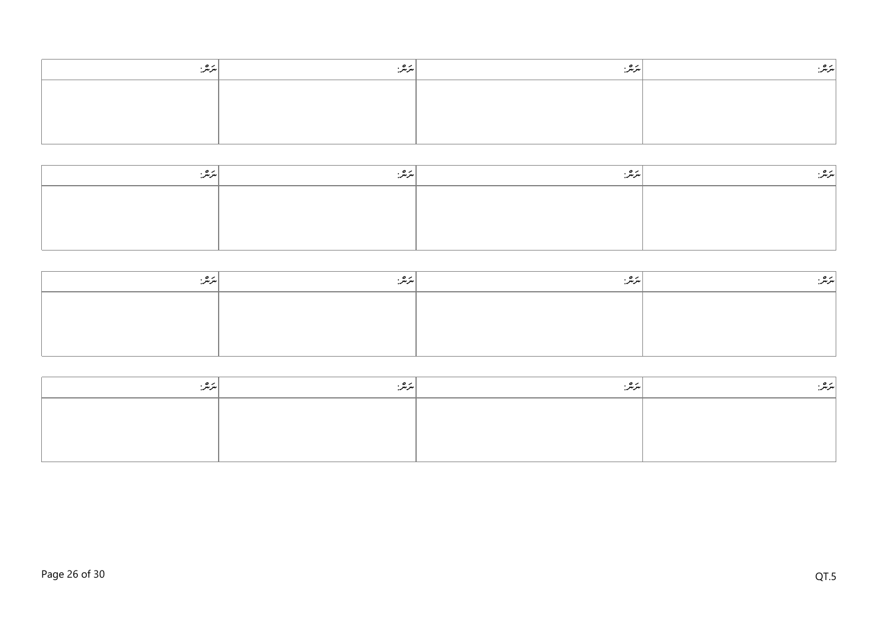| ير هو . | $\overline{\phantom{a}}$ | يرمر | اير هنه. |
|---------|--------------------------|------|----------|
|         |                          |      |          |
|         |                          |      |          |
|         |                          |      |          |

| ىر تىر: | $\circ$ $\sim$<br>" سرسر . | يبرحه | o . |
|---------|----------------------------|-------|-----|
|         |                            |       |     |
|         |                            |       |     |
|         |                            |       |     |

| الترنثر: | ' مرتكز: | الترنثر: | .,<br>سرسر. |
|----------|----------|----------|-------------|
|          |          |          |             |
|          |          |          |             |
|          |          |          |             |

|  | . ه |
|--|-----|
|  |     |
|  |     |
|  |     |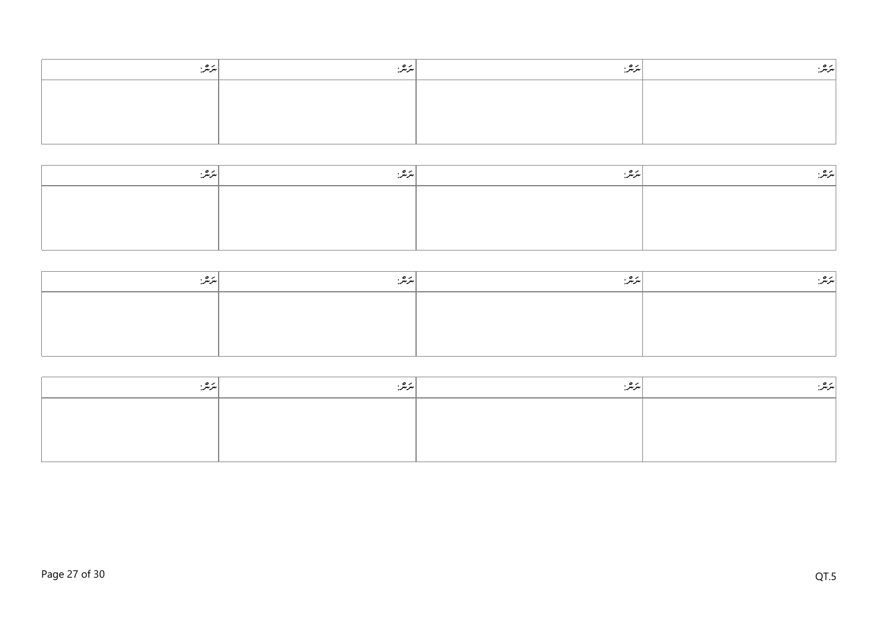| ير هو . | $\overline{\phantom{a}}$ | يرمر | اير هنه. |
|---------|--------------------------|------|----------|
|         |                          |      |          |
|         |                          |      |          |
|         |                          |      |          |

| ىر تىر: | $\circ$ $\sim$<br>" سرسر . | يبرحه | o . |
|---------|----------------------------|-------|-----|
|         |                            |       |     |
|         |                            |       |     |
|         |                            |       |     |

| الترنثر: | ' مرتكز: | الترنثر: | .,<br>سرسر. |
|----------|----------|----------|-------------|
|          |          |          |             |
|          |          |          |             |
|          |          |          |             |

|  | . ه |
|--|-----|
|  |     |
|  |     |
|  |     |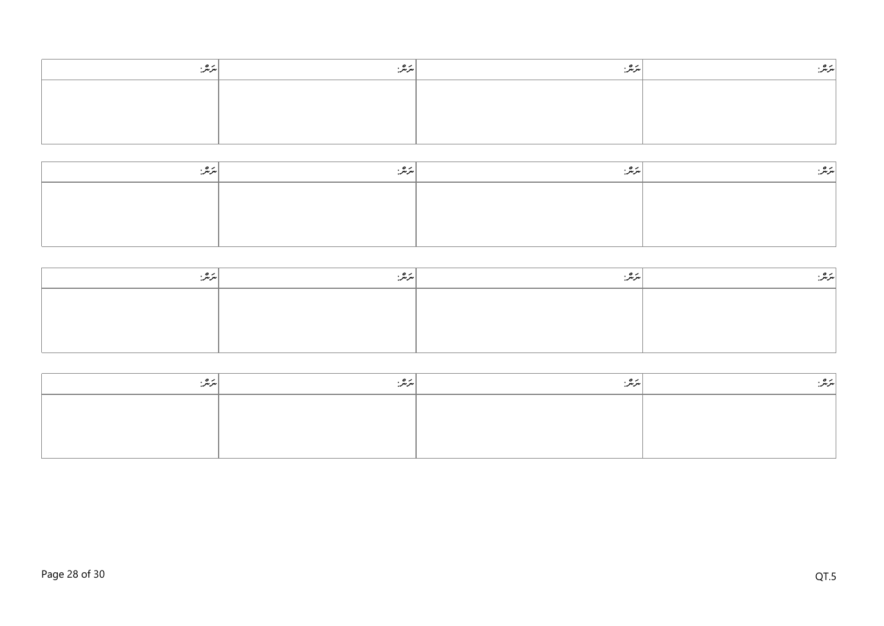| $\cdot$ | ο. | $\frac{\circ}{\cdot}$ | $\sim$<br>سرسر |
|---------|----|-----------------------|----------------|
|         |    |                       |                |
|         |    |                       |                |
|         |    |                       |                |

| ايرعر: | ر ه<br>. . |  |
|--------|------------|--|
|        |            |  |
|        |            |  |
|        |            |  |

| بر ه | 。 | $\sim$<br>َ سومس. |  |
|------|---|-------------------|--|
|      |   |                   |  |
|      |   |                   |  |
|      |   |                   |  |

| 。<br>. س | ىرىىر |  |
|----------|-------|--|
|          |       |  |
|          |       |  |
|          |       |  |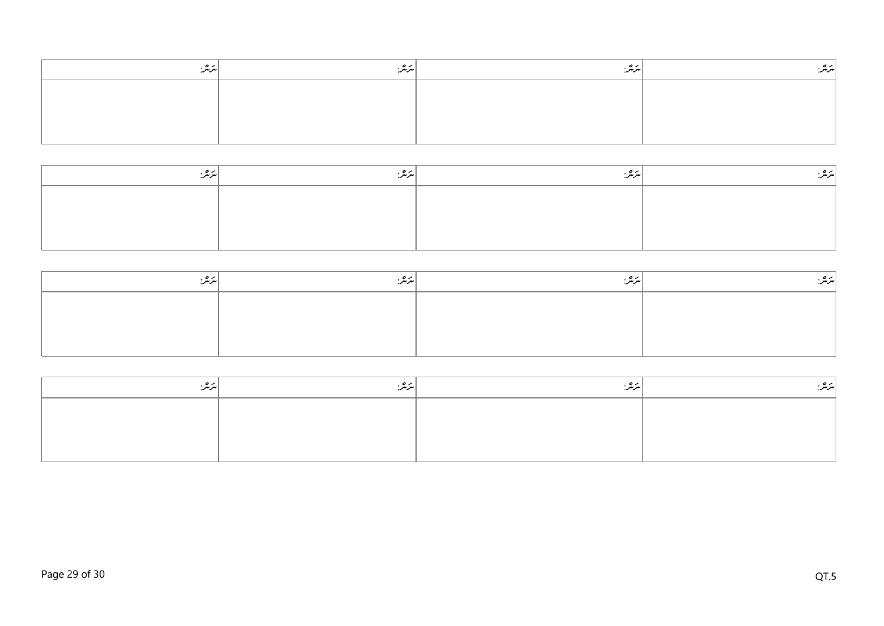| ير هو . | $\overline{\phantom{a}}$ | يرمر | لتزمثن |
|---------|--------------------------|------|--------|
|         |                          |      |        |
|         |                          |      |        |
|         |                          |      |        |

| ىر تىر: | $\circ$ $\sim$<br>" سرسر . | يبرحه | o . |
|---------|----------------------------|-------|-----|
|         |                            |       |     |
|         |                            |       |     |
|         |                            |       |     |

| 'تترنثر: | 。<br>,,,, |  |
|----------|-----------|--|
|          |           |  |
|          |           |  |
|          |           |  |

|  | . ه |
|--|-----|
|  |     |
|  |     |
|  |     |